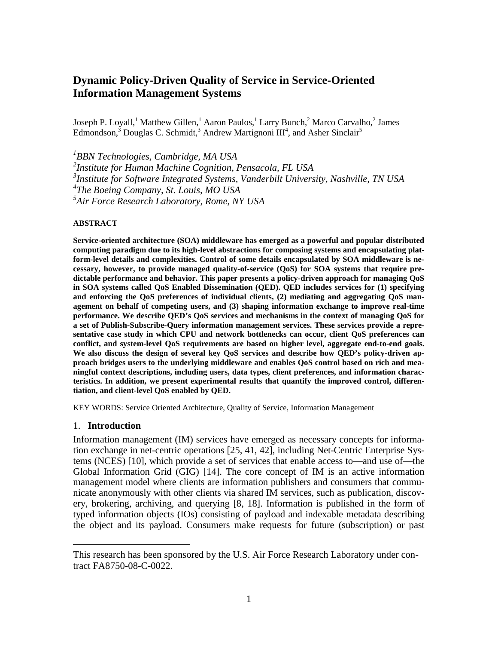# **Dynamic Policy-Driven Quality of Service in Service-Oriented Information Management Systems**

Joseph P. Loyall,<sup>1</sup> Matthew Gillen,<sup>1</sup> Aaron Paulos,<sup>1</sup> Larry Bunch,<sup>2</sup> Marco Carvalho,<sup>2</sup> James Edmondson,<sup>3</sup> Douglas C. Schmidt,<sup>3</sup> Andrew Martignoni III<sup>4</sup>, and Asher Sinclair<sup>5</sup>

 *BBN Technologies, Cambridge, MA USA Institute for Human Machine Cognition, Pensacola, FL USA Institute for Software Integrated Systems, Vanderbilt University, Nashville, TN USA The Boeing Company, St. Louis, MO USA Air Force Research Laboratory, Rome, NY USA*

#### **ABSTRACT**

**Service-oriented architecture (SOA) middleware has emerged as a powerful and popular distributed computing paradigm due to its high-level abstractions for composing systems and encapsulating platform-level details and complexities. Control of some details encapsulated by SOA middleware is necessary, however, to provide managed quality-of-service (QoS) for SOA systems that require predictable performance and behavior. This paper presents a policy-driven approach for managing QoS in SOA systems called QoS Enabled Dissemination (QED). QED includes services for (1) specifying and enforcing the QoS preferences of individual clients, (2) mediating and aggregating QoS management on behalf of competing users, and (3) shaping information exchange to improve real-time performance. We describe QED's QoS services and mechanisms in the context of managing QoS for a set of Publish-Subscribe-Query information management services. These services provide a representative case study in which CPU and network bottlenecks can occur, client QoS preferences can conflict, and system-level QoS requirements are based on higher level, aggregate end-to-end goals. We also discuss the design of several key QoS services and describe how QED's policy-driven approach bridges users to the underlying middleware and enables QoS control based on rich and meaningful context descriptions, including users, data types, client preferences, and information characteristics. In addition, we present experimental results that quantify the improved control, differentiation, and client-level QoS enabled by QED.**

KEY WORDS: Service Oriented Architecture, Quality of Service, Information Management

### 1. **Introduction**

 $\overline{a}$ 

Information management (IM) services have emerged as necessary concepts for information exchange in net-centric operations [\[25,](#page-35-0) [41,](#page-36-0) [42\]](#page-37-0), including Net-Centric Enterprise Systems (NCES) [\[10\]](#page-34-0), which provide a set of services that enable access to—and use of—the Global Information Grid (GIG) [\[14\]](#page-34-1). The core concept of IM is an active information management model where clients are information publishers and consumers that communicate anonymously with other clients via shared IM services, such as publication, discovery, brokering, archiving, and querying [\[8,](#page-34-2) [18\]](#page-35-1). Information is published in the form of typed information objects (IOs) consisting of payload and indexable metadata describing the object and its payload. Consumers make requests for future (subscription) or past

This research has been sponsored by the U.S. Air Force Research Laboratory under contract FA8750-08-C-0022.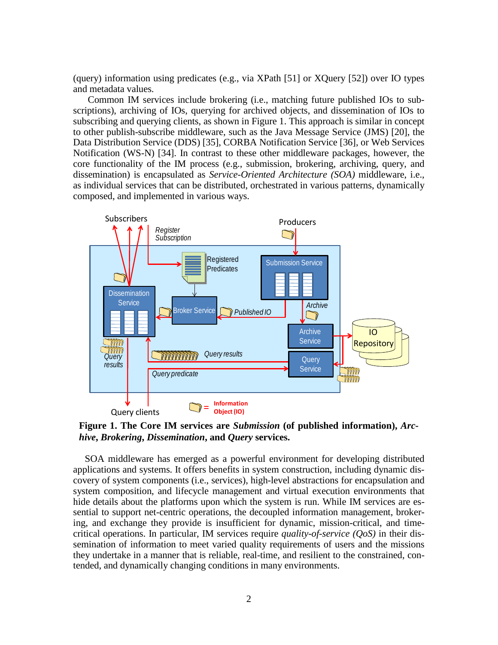(query) information using predicates (e.g., via XPath [\[51\]](#page-37-1) or XQuery [\[52\]](#page-37-2)) over IO types and metadata values.

Common IM services include brokering (i.e., matching future published IOs to subscriptions), archiving of IOs, querying for archived objects, and dissemination of IOs to subscribing and querying clients, as shown in [Figure 1.](#page-1-0) This approach is similar in concept to other publish-subscribe middleware, such as the Java Message Service (JMS) [\[20\]](#page-35-2), the Data Distribution Service (DDS) [\[35\]](#page-36-1), CORBA Notification Service [\[36\]](#page-36-2), or Web Services Notification (WS-N) [\[34\]](#page-36-3). In contrast to these other middleware packages, however, the core functionality of the IM process (e.g., submission, brokering, archiving, query, and dissemination) is encapsulated as *Service-Oriented Architecture (SOA)* middleware, i.e., as individual services that can be distributed, orchestrated in various patterns, dynamically composed, and implemented in various ways.



<span id="page-1-0"></span>**Figure 1. The Core IM services are** *Submission* **(of published information),** *Archive***,** *Brokering***,** *Dissemination***, and** *Query* **services.**

SOA middleware has emerged as a powerful environment for developing distributed applications and systems. It offers benefits in system construction, including dynamic discovery of system components (i.e., services), high-level abstractions for encapsulation and system composition, and lifecycle management and virtual execution environments that hide details about the platforms upon which the system is run. While IM services are essential to support net-centric operations, the decoupled information management, brokering, and exchange they provide is insufficient for dynamic, mission-critical, and timecritical operations. In particular, IM services require *quality-of-service (QoS)* in their dissemination of information to meet varied quality requirements of users and the missions they undertake in a manner that is reliable, real-time, and resilient to the constrained, contended, and dynamically changing conditions in many environments.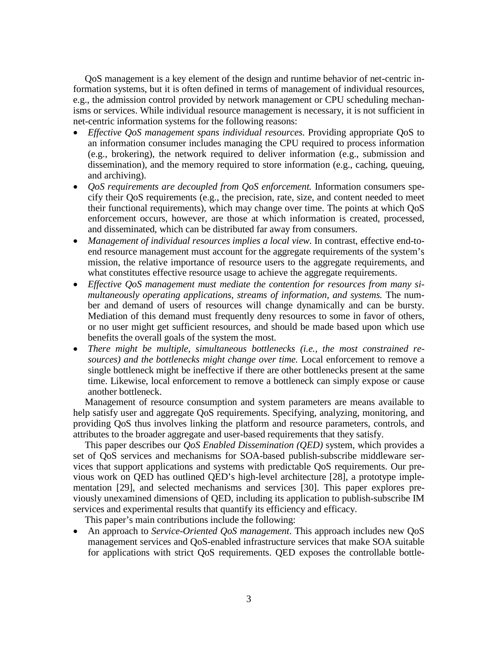QoS management is a key element of the design and runtime behavior of net-centric information systems, but it is often defined in terms of management of individual resources, e.g., the admission control provided by network management or CPU scheduling mechanisms or services. While individual resource management is necessary, it is not sufficient in net-centric information systems for the following reasons:

- *Effective QoS management spans individual resources.* Providing appropriate QoS to an information consumer includes managing the CPU required to process information (e.g., brokering), the network required to deliver information (e.g., submission and dissemination), and the memory required to store information (e.g., caching, queuing, and archiving).
- *QoS requirements are decoupled from QoS enforcement.* Information consumers specify their QoS requirements (e.g., the precision, rate, size, and content needed to meet their functional requirements), which may change over time. The points at which QoS enforcement occurs, however, are those at which information is created, processed, and disseminated, which can be distributed far away from consumers.
- *Management of individual resources implies a local view.* In contrast, effective end-toend resource management must account for the aggregate requirements of the system's mission, the relative importance of resource users to the aggregate requirements, and what constitutes effective resource usage to achieve the aggregate requirements.
- *Effective QoS management must mediate the contention for resources from many simultaneously operating applications, streams of information, and systems.* The number and demand of users of resources will change dynamically and can be bursty. Mediation of this demand must frequently deny resources to some in favor of others, or no user might get sufficient resources, and should be made based upon which use benefits the overall goals of the system the most.
- *There might be multiple, simultaneous bottlenecks (i.e., the most constrained resources) and the bottlenecks might change over time.* Local enforcement to remove a single bottleneck might be ineffective if there are other bottlenecks present at the same time. Likewise, local enforcement to remove a bottleneck can simply expose or cause another bottleneck.

Management of resource consumption and system parameters are means available to help satisfy user and aggregate QoS requirements. Specifying, analyzing, monitoring, and providing QoS thus involves linking the platform and resource parameters, controls, and attributes to the broader aggregate and user-based requirements that they satisfy.

This paper describes our *QoS Enabled Dissemination (QED)* system, which provides a set of QoS services and mechanisms for SOA-based publish-subscribe middleware services that support applications and systems with predictable QoS requirements. Our previous work on QED has outlined QED's high-level architecture [\[28\]](#page-35-3), a prototype implementation [\[29\]](#page-35-4), and selected mechanisms and services [\[30\]](#page-36-4). This paper explores previously unexamined dimensions of QED, including its application to publish-subscribe IM services and experimental results that quantify its efficiency and efficacy.

This paper's main contributions include the following:

• An approach to *Service-Oriented QoS management*. This approach includes new QoS management services and QoS-enabled infrastructure services that make SOA suitable for applications with strict QoS requirements. QED exposes the controllable bottle-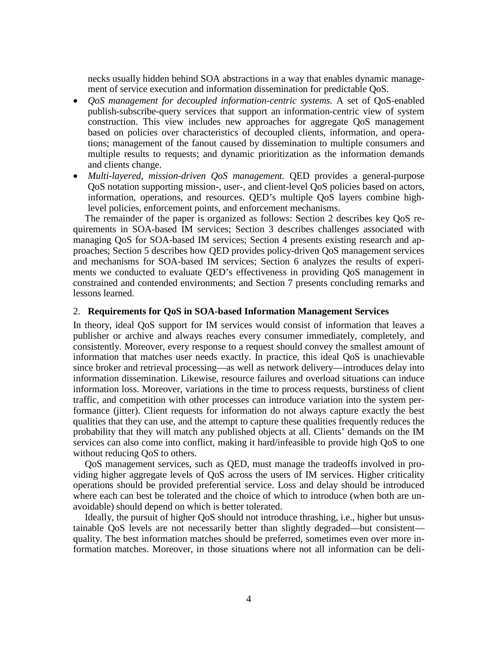necks usually hidden behind SOA abstractions in a way that enables dynamic management of service execution and information dissemination for predictable QoS.

- *OoS management for decoupled information-centric systems.* A set of QoS-enabled publish-subscribe-query services that support an information-centric view of system construction. This view includes new approaches for aggregate QoS management based on policies over characteristics of decoupled clients, information, and operations; management of the fanout caused by dissemination to multiple consumers and multiple results to requests; and dynamic prioritization as the information demands and clients change.
- *Multi-layered, mission-driven OoS management.* OED provides a general-purpose QoS notation supporting mission-, user-, and client-level QoS policies based on actors, information, operations, and resources. QED's multiple QoS layers combine highlevel policies, enforcement points, and enforcement mechanisms.

The remainder of the paper is organized as follows: Section [2](#page-3-0) describes key QoS requirements in SOA-based IM services; Section [3](#page-4-0) describes challenges associated with managing QoS for SOA-based IM services; Section [4](#page-7-0) presents existing research and approaches; Section [5](#page-10-0) describes how QED provides policy-driven QoS management services and mechanisms for SOA-based IM services; Section [6](#page-21-0) analyzes the results of experiments we conducted to evaluate QED's effectiveness in providing QoS management in constrained and contended environments; and Section [7](#page-32-0) presents concluding remarks and lessons learned.

#### <span id="page-3-0"></span>2. **Requirements for QoS in SOA-based Information Management Services**

In theory, ideal QoS support for IM services would consist of information that leaves a publisher or archive and always reaches every consumer immediately, completely, and consistently. Moreover, every response to a request should convey the smallest amount of information that matches user needs exactly. In practice, this ideal QoS is unachievable since broker and retrieval processing—as well as network delivery—introduces delay into information dissemination. Likewise, resource failures and overload situations can induce information loss. Moreover, variations in the time to process requests, burstiness of client traffic, and competition with other processes can introduce variation into the system performance (jitter). Client requests for information do not always capture exactly the best qualities that they can use, and the attempt to capture these qualities frequently reduces the probability that they will match any published objects at all. Clients' demands on the IM services can also come into conflict, making it hard/infeasible to provide high QoS to one without reducing QoS to others.

QoS management services, such as QED, must manage the tradeoffs involved in providing higher aggregate levels of QoS across the users of IM services. Higher criticality operations should be provided preferential service. Loss and delay should be introduced where each can best be tolerated and the choice of which to introduce (when both are unavoidable) should depend on which is better tolerated.

Ideally, the pursuit of higher QoS should not introduce thrashing, i.e., higher but unsustainable QoS levels are not necessarily better than slightly degraded—but consistent quality. The best information matches should be preferred, sometimes even over more information matches. Moreover, in those situations where not all information can be deli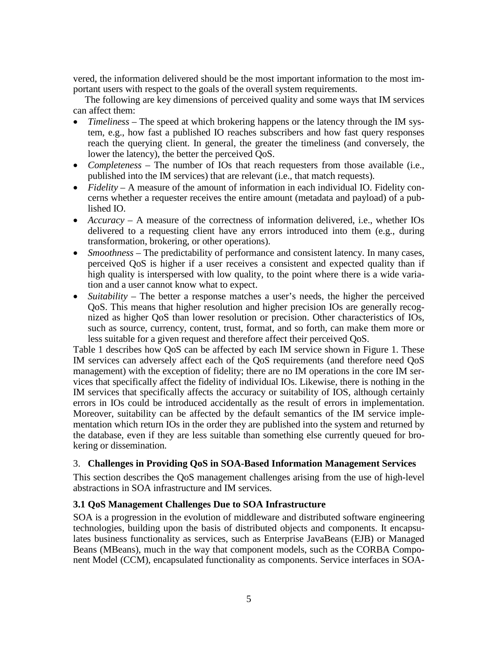vered, the information delivered should be the most important information to the most important users with respect to the goals of the overall system requirements.

The following are key dimensions of perceived quality and some ways that IM services can affect them:

- *Timeliness* The speed at which brokering happens or the latency through the IM system, e.g., how fast a published IO reaches subscribers and how fast query responses reach the querying client. In general, the greater the timeliness (and conversely, the lower the latency), the better the perceived QoS.
- *Completeness* The number of IOs that reach requesters from those available (i.e., published into the IM services) that are relevant (i.e., that match requests).
- *Fidelity* A measure of the amount of information in each individual IO. Fidelity concerns whether a requester receives the entire amount (metadata and payload) of a published IO.
- *Accuracy* A measure of the correctness of information delivered, i.e., whether IOs delivered to a requesting client have any errors introduced into them (e.g., during transformation, brokering, or other operations).
- *Smoothness* The predictability of performance and consistent latency. In many cases, perceived QoS is higher if a user receives a consistent and expected quality than if high quality is interspersed with low quality, to the point where there is a wide variation and a user cannot know what to expect.
- *Suitability* The better a response matches a user's needs, the higher the perceived QoS. This means that higher resolution and higher precision IOs are generally recognized as higher QoS than lower resolution or precision. Other characteristics of IOs, such as source, currency, content, trust, format, and so forth, can make them more or less suitable for a given request and therefore affect their perceived QoS.

[Table 1](#page-5-0) describes how QoS can be affected by each IM service shown in [Figure 1.](#page-1-0) These IM services can adversely affect each of the QoS requirements (and therefore need QoS management) with the exception of fidelity; there are no IM operations in the core IM services that specifically affect the fidelity of individual IOs. Likewise, there is nothing in the IM services that specifically affects the accuracy or suitability of IOS, although certainly errors in IOs could be introduced accidentally as the result of errors in implementation. Moreover, suitability can be affected by the default semantics of the IM service implementation which return IOs in the order they are published into the system and returned by the database, even if they are less suitable than something else currently queued for brokering or dissemination.

# <span id="page-4-0"></span>3. **Challenges in Providing QoS in SOA-Based Information Management Services**

This section describes the QoS management challenges arising from the use of high-level abstractions in SOA infrastructure and IM services.

# **3.1 QoS Management Challenges Due to SOA Infrastructure**

SOA is a progression in the evolution of middleware and distributed software engineering technologies, building upon the basis of distributed objects and components. It encapsulates business functionality as services, such as Enterprise JavaBeans (EJB) or Managed Beans (MBeans), much in the way that component models, such as the CORBA Component Model (CCM), encapsulated functionality as components. Service interfaces in SOA-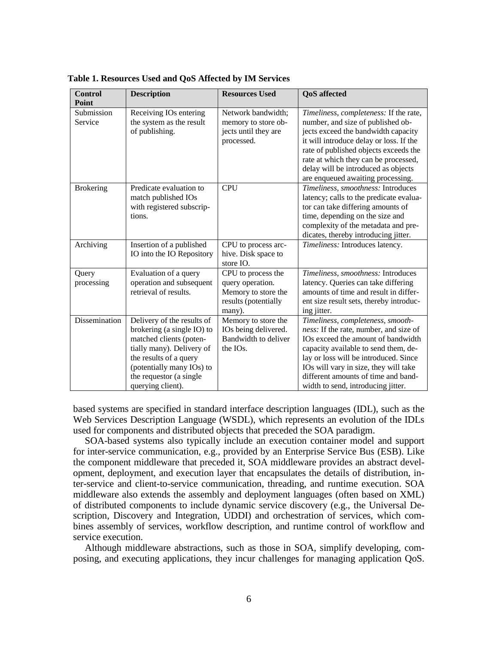| <b>Control</b><br>Point | <b>Description</b>                                                                                                                                                                                                      | <b>Resources Used</b>                                                                           | <b>QoS</b> affected                                                                                                                                                                                                                                                                                                        |
|-------------------------|-------------------------------------------------------------------------------------------------------------------------------------------------------------------------------------------------------------------------|-------------------------------------------------------------------------------------------------|----------------------------------------------------------------------------------------------------------------------------------------------------------------------------------------------------------------------------------------------------------------------------------------------------------------------------|
| Submission<br>Service   | Receiving IOs entering<br>the system as the result<br>of publishing.                                                                                                                                                    | Network bandwidth;<br>memory to store ob-<br>jects until they are<br>processed.                 | Timeliness, completeness: If the rate,<br>number, and size of published ob-<br>jects exceed the bandwidth capacity<br>it will introduce delay or loss. If the<br>rate of published objects exceeds the<br>rate at which they can be processed,<br>delay will be introduced as objects<br>are enqueued awaiting processing. |
| <b>Brokering</b>        | Predicate evaluation to<br>match published IOs<br>with registered subscrip-<br>tions.                                                                                                                                   | <b>CPU</b>                                                                                      | Timeliness, smoothness: Introduces<br>latency; calls to the predicate evalua-<br>tor can take differing amounts of<br>time, depending on the size and<br>complexity of the metadata and pre-<br>dicates, thereby introducing jitter.                                                                                       |
| Archiving               | Insertion of a published<br>IO into the IO Repository                                                                                                                                                                   | CPU to process arc-<br>hive. Disk space to<br>store IO.                                         | Timeliness: Introduces latency.                                                                                                                                                                                                                                                                                            |
| Query<br>processing     | Evaluation of a query<br>operation and subsequent<br>retrieval of results.                                                                                                                                              | CPU to process the<br>query operation.<br>Memory to store the<br>results (potentially<br>many). | Timeliness, smoothness: Introduces<br>latency. Queries can take differing<br>amounts of time and result in differ-<br>ent size result sets, thereby introduc-<br>ing jitter.                                                                                                                                               |
| Dissemination           | Delivery of the results of<br>brokering (a single IO) to<br>matched clients (poten-<br>tially many). Delivery of<br>the results of a query<br>(potentially many IOs) to<br>the requestor (a single<br>querying client). | Memory to store the<br>IOs being delivered.<br>Bandwidth to deliver<br>the IOs.                 | Timeliness, completeness, smooth-<br>ness: If the rate, number, and size of<br>IOs exceed the amount of bandwidth<br>capacity available to send them, de-<br>lay or loss will be introduced. Since<br>IOs will vary in size, they will take<br>different amounts of time and band-<br>width to send, introducing jitter.   |

<span id="page-5-0"></span>**Table 1. Resources Used and QoS Affected by IM Services**

based systems are specified in standard interface description languages (IDL), such as the Web Services Description Language (WSDL), which represents an evolution of the IDLs used for components and distributed objects that preceded the SOA paradigm.

SOA-based systems also typically include an execution container model and support for inter-service communication, e.g., provided by an Enterprise Service Bus (ESB). Like the component middleware that preceded it, SOA middleware provides an abstract development, deployment, and execution layer that encapsulates the details of distribution, inter-service and client-to-service communication, threading, and runtime execution. SOA middleware also extends the assembly and deployment languages (often based on XML) of distributed components to include dynamic service discovery (e.g., the Universal Description, Discovery and Integration, UDDI) and orchestration of services, which combines assembly of services, workflow description, and runtime control of workflow and service execution.

Although middleware abstractions, such as those in SOA, simplify developing, composing, and executing applications, they incur challenges for managing application QoS.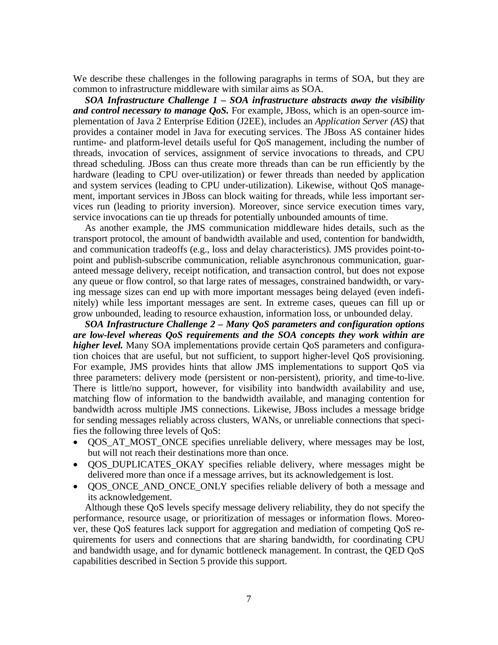We describe these challenges in the following paragraphs in terms of SOA, but they are common to infrastructure middleware with similar aims as SOA.

*SOA Infrastructure Challenge 1 – SOA infrastructure abstracts away the visibility and control necessary to manage QoS.* For example, JBoss, which is an open-source implementation of Java 2 Enterprise Edition (J2EE), includes an *Application Server (AS)* that provides a container model in Java for executing services. The JBoss AS container hides runtime- and platform-level details useful for QoS management, including the number of threads, invocation of services, assignment of service invocations to threads, and CPU thread scheduling. JBoss can thus create more threads than can be run efficiently by the hardware (leading to CPU over-utilization) or fewer threads than needed by application and system services (leading to CPU under-utilization). Likewise, without QoS management, important services in JBoss can block waiting for threads, while less important services run (leading to priority inversion). Moreover, since service execution times vary, service invocations can tie up threads for potentially unbounded amounts of time.

As another example, the JMS communication middleware hides details, such as the transport protocol, the amount of bandwidth available and used, contention for bandwidth, and communication tradeoffs (e.g., loss and delay characteristics). JMS provides point-topoint and publish-subscribe communication, reliable asynchronous communication, guaranteed message delivery, receipt notification, and transaction control, but does not expose any queue or flow control, so that large rates of messages, constrained bandwidth, or varying message sizes can end up with more important messages being delayed (even indefinitely) while less important messages are sent. In extreme cases, queues can fill up or grow unbounded, leading to resource exhaustion, information loss, or unbounded delay.

*SOA Infrastructure Challenge 2 – Many QoS parameters and configuration options are low-level whereas QoS requirements and the SOA concepts they work within are higher level.* Many SOA implementations provide certain QoS parameters and configuration choices that are useful, but not sufficient, to support higher-level QoS provisioning. For example, JMS provides hints that allow JMS implementations to support QoS via three parameters: delivery mode (persistent or non-persistent), priority, and time-to-live. There is little/no support, however, for visibility into bandwidth availability and use, matching flow of information to the bandwidth available, and managing contention for bandwidth across multiple JMS connections. Likewise, JBoss includes a message bridge for sending messages reliably across clusters, WANs, or unreliable connections that specifies the following three levels of QoS:

- QOS\_AT\_MOST\_ONCE specifies unreliable delivery, where messages may be lost, but will not reach their destinations more than once.
- QOS\_DUPLICATES\_OKAY specifies reliable delivery, where messages might be delivered more than once if a message arrives, but its acknowledgement is lost.
- QOS\_ONCE\_AND\_ONCE\_ONLY specifies reliable delivery of both a message and its acknowledgement.

Although these QoS levels specify message delivery reliability, they do not specify the performance, resource usage, or prioritization of messages or information flows. Moreover, these QoS features lack support for aggregation and mediation of competing QoS requirements for users and connections that are sharing bandwidth, for coordinating CPU and bandwidth usage, and for dynamic bottleneck management. In contrast, the QED QoS capabilities described in Section [5](#page-10-0) provide this support.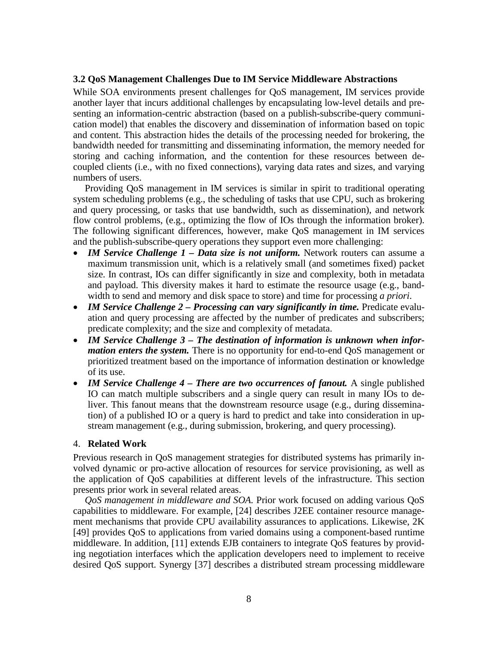## **3.2 QoS Management Challenges Due to IM Service Middleware Abstractions**

While SOA environments present challenges for QoS management, IM services provide another layer that incurs additional challenges by encapsulating low-level details and presenting an information-centric abstraction (based on a publish-subscribe-query communication model) that enables the discovery and dissemination of information based on topic and content. This abstraction hides the details of the processing needed for brokering, the bandwidth needed for transmitting and disseminating information, the memory needed for storing and caching information, and the contention for these resources between decoupled clients (i.e., with no fixed connections), varying data rates and sizes, and varying numbers of users.

Providing QoS management in IM services is similar in spirit to traditional operating system scheduling problems (e.g., the scheduling of tasks that use CPU, such as brokering and query processing, or tasks that use bandwidth, such as dissemination), and network flow control problems, (e.g., optimizing the flow of IOs through the information broker). The following significant differences, however, make QoS management in IM services and the publish-subscribe-query operations they support even more challenging:

- *IM Service Challenge 1 Data size is not uniform.* Network routers can assume a maximum transmission unit, which is a relatively small (and sometimes fixed) packet size. In contrast, IOs can differ significantly in size and complexity, both in metadata and payload. This diversity makes it hard to estimate the resource usage (e.g., bandwidth to send and memory and disk space to store) and time for processing *a priori*.
- *IM Service Challenge 2 Processing can vary significantly in time.* Predicate evaluation and query processing are affected by the number of predicates and subscribers; predicate complexity; and the size and complexity of metadata.
- *IM Service Challenge 3 The destination of information is unknown when information enters the system.* There is no opportunity for end-to-end QoS management or prioritized treatment based on the importance of information destination or knowledge of its use.
- *IM Service Challenge 4 – There are two occurrences of fanout.* A single published IO can match multiple subscribers and a single query can result in many IOs to deliver. This fanout means that the downstream resource usage (e.g., during dissemination) of a published IO or a query is hard to predict and take into consideration in upstream management (e.g., during submission, brokering, and query processing).

## <span id="page-7-0"></span>4. **Related Work**

Previous research in QoS management strategies for distributed systems has primarily involved dynamic or pro-active allocation of resources for service provisioning, as well as the application of QoS capabilities at different levels of the infrastructure. This section presents prior work in several related areas.

*QoS management in middleware and SOA.* Prior work focused on adding various QoS capabilities to middleware. For example, [\[24\]](#page-35-5) describes J2EE container resource management mechanisms that provide CPU availability assurances to applications. Likewise, 2K [\[49\]](#page-37-3) provides QoS to applications from varied domains using a component-based runtime middleware. In addition, [\[11\]](#page-34-3) extends EJB containers to integrate QoS features by providing negotiation interfaces which the application developers need to implement to receive desired QoS support. Synergy [\[37\]](#page-36-5) describes a distributed stream processing middleware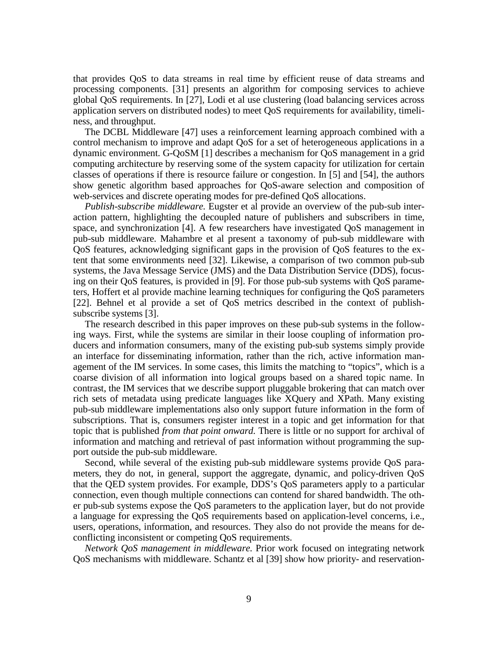that provides QoS to data streams in real time by efficient reuse of data streams and processing components. [\[31\]](#page-36-6) presents an algorithm for composing services to achieve global QoS requirements. In [\[27\]](#page-35-6), Lodi et al use clustering (load balancing services across application servers on distributed nodes) to meet QoS requirements for availability, timeliness, and throughput.

The DCBL Middleware [\[47\]](#page-37-4) uses a reinforcement learning approach combined with a control mechanism to improve and adapt QoS for a set of heterogeneous applications in a dynamic environment. G-QoSM [\[1\]](#page-34-4) describes a mechanism for QoS management in a grid computing architecture by reserving some of the system capacity for utilization for certain classes of operations if there is resource failure or congestion. In [\[5\]](#page-34-5) and [\[54\]](#page-37-5), the authors show genetic algorithm based approaches for QoS-aware selection and composition of web-services and discrete operating modes for pre-defined QoS allocations.

*Publish-subscribe middleware.* Eugster et al provide an overview of the pub-sub interaction pattern, highlighting the decoupled nature of publishers and subscribers in time, space, and synchronization [\[4\]](#page-34-6). A few researchers have investigated QoS management in pub-sub middleware. Mahambre et al present a taxonomy of pub-sub middleware with QoS features, acknowledging significant gaps in the provision of QoS features to the extent that some environments need [\[32\]](#page-36-7). Likewise, a comparison of two common pub-sub systems, the Java Message Service (JMS) and the Data Distribution Service (DDS), focusing on their QoS features, is provided in [\[9\]](#page-34-7). For those pub-sub systems with QoS parameters, Hoffert et al provide machine learning techniques for configuring the QoS parameters [\[22\]](#page-35-7). Behnel et al provide a set of QoS metrics described in the context of publishsubscribe systems [\[3\]](#page-34-8).

The research described in this paper improves on these pub-sub systems in the following ways. First, while the systems are similar in their loose coupling of information producers and information consumers, many of the existing pub-sub systems simply provide an interface for disseminating information, rather than the rich, active information management of the IM services. In some cases, this limits the matching to "topics", which is a coarse division of all information into logical groups based on a shared topic name. In contrast, the IM services that we describe support pluggable brokering that can match over rich sets of metadata using predicate languages like XQuery and XPath. Many existing pub-sub middleware implementations also only support future information in the form of subscriptions. That is, consumers register interest in a topic and get information for that topic that is published *from that point onward.* There is little or no support for archival of information and matching and retrieval of past information without programming the support outside the pub-sub middleware.

Second, while several of the existing pub-sub middleware systems provide QoS parameters, they do not, in general, support the aggregate, dynamic, and policy-driven QoS that the QED system provides. For example, DDS's QoS parameters apply to a particular connection, even though multiple connections can contend for shared bandwidth. The other pub-sub systems expose the QoS parameters to the application layer, but do not provide a language for expressing the QoS requirements based on application-level concerns, i.e., users, operations, information, and resources. They also do not provide the means for deconflicting inconsistent or competing QoS requirements.

*Network QoS management in middleware.* Prior work focused on integrating network QoS mechanisms with middleware. Schantz et al [\[39\]](#page-36-8) show how priority- and reservation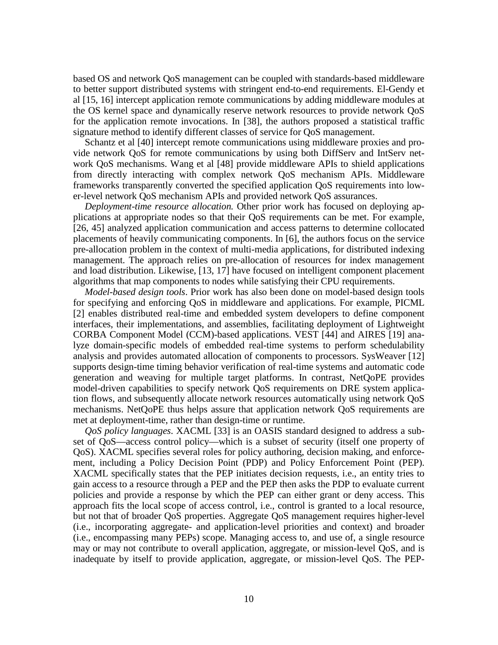based OS and network QoS management can be coupled with standards-based middleware to better support distributed systems with stringent end-to-end requirements. El-Gendy et al [\[15,](#page-34-9) [16\]](#page-35-8) intercept application remote communications by adding middleware modules at the OS kernel space and dynamically reserve network resources to provide network QoS for the application remote invocations. In [\[38\]](#page-36-9), the authors proposed a statistical traffic signature method to identify different classes of service for QoS management.

Schantz et al [\[40\]](#page-36-10) intercept remote communications using middleware proxies and provide network QoS for remote communications by using both DiffServ and IntServ network QoS mechanisms. Wang et al [\[48\]](#page-37-6) provide middleware APIs to shield applications from directly interacting with complex network QoS mechanism APIs. Middleware frameworks transparently converted the specified application QoS requirements into lower-level network QoS mechanism APIs and provided network QoS assurances.

*Deployment-time resource allocation.* Other prior work has focused on deploying applications at appropriate nodes so that their QoS requirements can be met. For example, [\[26,](#page-35-9) [45\]](#page-37-7) analyzed application communication and access patterns to determine collocated placements of heavily communicating components. In [\[6\]](#page-34-10), the authors focus on the service pre-allocation problem in the context of multi-media applications, for distributed indexing management. The approach relies on pre-allocation of resources for index management and load distribution. Likewise, [\[13,](#page-34-11) [17\]](#page-35-10) have focused on intelligent component placement algorithms that map components to nodes while satisfying their CPU requirements.

*Model-based design tools*. Prior work has also been done on model-based design tools for specifying and enforcing QoS in middleware and applications. For example, PICML [\[2\]](#page-34-12) enables distributed real-time and embedded system developers to define component interfaces, their implementations, and assemblies, facilitating deployment of Lightweight CORBA Component Model (CCM)-based applications. VEST [\[44\]](#page-37-8) and AIRES [\[19\]](#page-35-11) analyze domain-specific models of embedded real-time systems to perform schedulability analysis and provides automated allocation of components to processors. SysWeaver [\[12\]](#page-34-13) supports design-time timing behavior verification of real-time systems and automatic code generation and weaving for multiple target platforms. In contrast, NetQoPE provides model-driven capabilities to specify network QoS requirements on DRE system application flows, and subsequently allocate network resources automatically using network QoS mechanisms. NetQoPE thus helps assure that application network QoS requirements are met at deployment-time, rather than design-time or runtime.

*QoS policy languages*. XACML [\[33\]](#page-36-11) is an OASIS standard designed to address a subset of QoS—access control policy—which is a subset of security (itself one property of QoS). XACML specifies several roles for policy authoring, decision making, and enforcement, including a Policy Decision Point (PDP) and Policy Enforcement Point (PEP). XACML specifically states that the PEP initiates decision requests, i.e., an entity tries to gain access to a resource through a PEP and the PEP then asks the PDP to evaluate current policies and provide a response by which the PEP can either grant or deny access. This approach fits the local scope of access control, i.e., control is granted to a local resource, but not that of broader QoS properties. Aggregate QoS management requires higher-level (i.e., incorporating aggregate- and application-level priorities and context) and broader (i.e., encompassing many PEPs) scope. Managing access to, and use of, a single resource may or may not contribute to overall application, aggregate, or mission-level QoS, and is inadequate by itself to provide application, aggregate, or mission-level QoS. The PEP-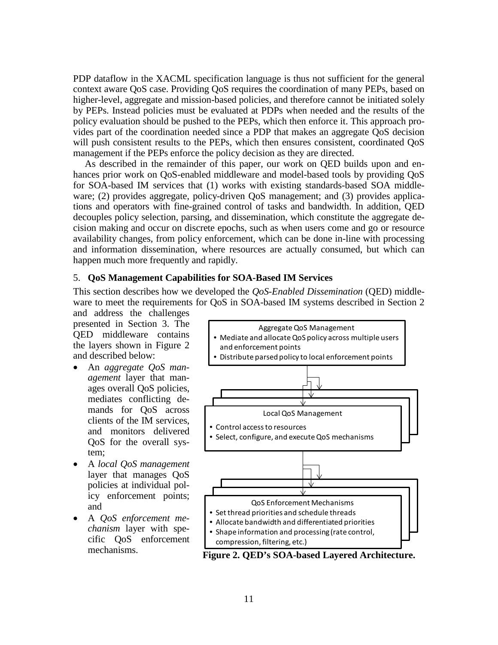PDP dataflow in the XACML specification language is thus not sufficient for the general context aware QoS case. Providing QoS requires the coordination of many PEPs, based on higher-level, aggregate and mission-based policies, and therefore cannot be initiated solely by PEPs. Instead policies must be evaluated at PDPs when needed and the results of the policy evaluation should be pushed to the PEPs, which then enforce it. This approach provides part of the coordination needed since a PDP that makes an aggregate QoS decision will push consistent results to the PEPs, which then ensures consistent, coordinated QoS management if the PEPs enforce the policy decision as they are directed.

As described in the remainder of this paper, our work on QED builds upon and enhances prior work on QoS-enabled middleware and model-based tools by providing QoS for SOA-based IM services that (1) works with existing standards-based SOA middleware; (2) provides aggregate, policy-driven QoS management; and (3) provides applications and operators with fine-grained control of tasks and bandwidth. In addition, QED decouples policy selection, parsing, and dissemination, which constitute the aggregate decision making and occur on discrete epochs, such as when users come and go or resource availability changes, from policy enforcement, which can be done in-line with processing and information dissemination, where resources are actually consumed, but which can happen much more frequently and rapidly.

### <span id="page-10-0"></span>5. **QoS Management Capabilities for SOA-Based IM Services**

This section describes how we developed the *QoS-Enabled Dissemination* (QED) middleware to meet the requirements for QoS in SOA-based IM systems described in Section [2](#page-3-0)

and address the challenges presented in Section [3.](#page-4-0) The QED middleware contains the layers shown in [Figure 2](#page-10-1) and described below:

- An *aggregate QoS management* layer that manages overall QoS policies, mediates conflicting demands for QoS across clients of the IM services, and monitors delivered QoS for the overall system;
- A *local QoS management*  layer that manages QoS policies at individual policy enforcement points; and
- A *QoS enforcement mechanism* layer with specific QoS enforcement



<span id="page-10-1"></span>mechanisms. **Figure 2. QED's SOA-based Layered Architecture.**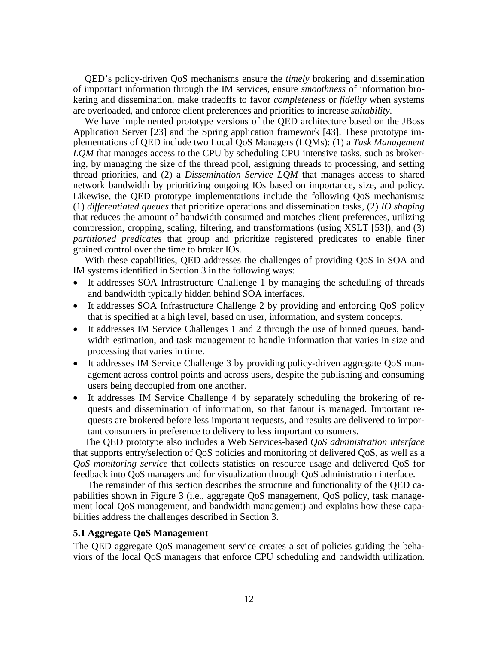QED's policy-driven QoS mechanisms ensure the *timely* brokering and dissemination of important information through the IM services, ensure *smoothness* of information brokering and dissemination, make tradeoffs to favor *completeness* or *fidelity* when systems are overloaded, and enforce client preferences and priorities to increase *suitability*.

We have implemented prototype versions of the QED architecture based on the JBoss Application Server [\[23\]](#page-35-12) and the Spring application framework [\[43\]](#page-37-9). These prototype implementations of QED include two Local QoS Managers (LQMs): (1) a *Task Management LQM* that manages access to the CPU by scheduling CPU intensive tasks, such as brokering, by managing the size of the thread pool, assigning threads to processing, and setting thread priorities, and (2) a *Dissemination Service LQM* that manages access to shared network bandwidth by prioritizing outgoing IOs based on importance, size, and policy. Likewise, the QED prototype implementations include the following QoS mechanisms: (1) *differentiated queues* that prioritize operations and dissemination tasks, (2) *IO shaping* that reduces the amount of bandwidth consumed and matches client preferences, utilizing compression, cropping, scaling, filtering, and transformations (using XSLT [\[53\]](#page-37-10)), and (3) *partitioned predicates* that group and prioritize registered predicates to enable finer grained control over the time to broker IOs.

With these capabilities, QED addresses the challenges of providing QoS in SOA and IM systems identified in Section [3](#page-4-0) in the following ways:

- It addresses SOA Infrastructure Challenge 1 by managing the scheduling of threads and bandwidth typically hidden behind SOA interfaces.
- It addresses SOA Infrastructure Challenge 2 by providing and enforcing QoS policy that is specified at a high level, based on user, information, and system concepts.
- It addresses IM Service Challenges 1 and 2 through the use of binned queues, bandwidth estimation, and task management to handle information that varies in size and processing that varies in time.
- It addresses IM Service Challenge 3 by providing policy-driven aggregate QoS management across control points and across users, despite the publishing and consuming users being decoupled from one another.
- It addresses IM Service Challenge 4 by separately scheduling the brokering of requests and dissemination of information, so that fanout is managed. Important requests are brokered before less important requests, and results are delivered to important consumers in preference to delivery to less important consumers.

The QED prototype also includes a Web Services-based *QoS administration interface* that supports entry/selection of QoS policies and monitoring of delivered QoS, as well as a *QoS monitoring service* that collects statistics on resource usage and delivered QoS for feedback into QoS managers and for visualization through QoS administration interface.

The remainder of this section describes the structure and functionality of the QED capabilities shown in [Figure 3](#page-12-0) (i.e., aggregate QoS management, QoS policy, task management local QoS management, and bandwidth management) and explains how these capabilities address the challenges described in Section [3.](#page-4-0)

#### **5.1 Aggregate QoS Management**

The QED aggregate QoS management service creates a set of policies guiding the behaviors of the local QoS managers that enforce CPU scheduling and bandwidth utilization.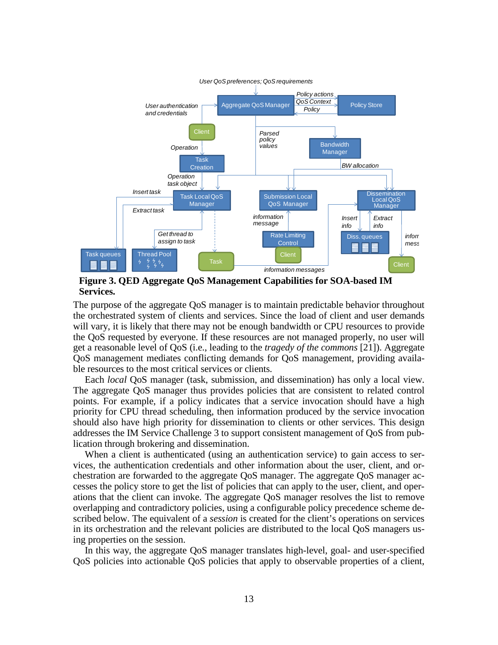

<span id="page-12-0"></span>**Figure 3. QED Aggregate QoS Management Capabilities for SOA-based IM Services.**

The purpose of the aggregate QoS manager is to maintain predictable behavior throughout the orchestrated system of clients and services. Since the load of client and user demands will vary, it is likely that there may not be enough bandwidth or CPU resources to provide the QoS requested by everyone. If these resources are not managed properly, no user will get a reasonable level of QoS (i.e., leading to the *tragedy of the commons* [\[21\]](#page-35-13)). Aggregate QoS management mediates conflicting demands for QoS management, providing available resources to the most critical services or clients.

Each *local* QoS manager (task, submission, and dissemination) has only a local view. The aggregate QoS manager thus provides policies that are consistent to related control points. For example, if a policy indicates that a service invocation should have a high priority for CPU thread scheduling, then information produced by the service invocation should also have high priority for dissemination to clients or other services. This design addresses the IM Service Challenge 3 to support consistent management of QoS from publication through brokering and dissemination.

When a client is authenticated (using an authentication service) to gain access to services, the authentication credentials and other information about the user, client, and orchestration are forwarded to the aggregate QoS manager. The aggregate QoS manager accesses the policy store to get the list of policies that can apply to the user, client, and operations that the client can invoke. The aggregate QoS manager resolves the list to remove overlapping and contradictory policies, using a configurable policy precedence scheme described below. The equivalent of a *session* is created for the client's operations on services in its orchestration and the relevant policies are distributed to the local QoS managers using properties on the session.

In this way, the aggregate QoS manager translates high-level, goal- and user-specified QoS policies into actionable QoS policies that apply to observable properties of a client,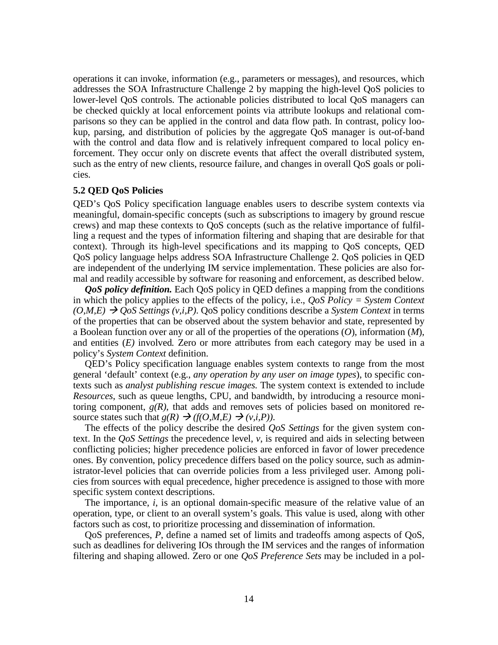operations it can invoke, information (e.g., parameters or messages), and resources, which addresses the SOA Infrastructure Challenge 2 by mapping the high-level QoS policies to lower-level QoS controls. The actionable policies distributed to local QoS managers can be checked quickly at local enforcement points via attribute lookups and relational comparisons so they can be applied in the control and data flow path. In contrast, policy lookup, parsing, and distribution of policies by the aggregate QoS manager is out-of-band with the control and data flow and is relatively infrequent compared to local policy enforcement. They occur only on discrete events that affect the overall distributed system, such as the entry of new clients, resource failure, and changes in overall QoS goals or policies.

### <span id="page-13-0"></span>**5.2 QED QoS Policies**

QED's QoS Policy specification language enables users to describe system contexts via meaningful, domain-specific concepts (such as subscriptions to imagery by ground rescue crews) and map these contexts to QoS concepts (such as the relative importance of fulfilling a request and the types of information filtering and shaping that are desirable for that context). Through its high-level specifications and its mapping to QoS concepts, QED QoS policy language helps address SOA Infrastructure Challenge 2. QoS policies in QED are independent of the underlying IM service implementation. These policies are also formal and readily accessible by software for reasoning and enforcement, as described below.

*QoS policy definition.* Each QoS policy in QED defines a mapping from the conditions in which the policy applies to the effects of the policy, i.e., *QoS Policy = System Context*  $(0,M,E) \rightarrow$  OoS Settings (v,*i,P*). QoS policy conditions describe a *System Context* in terms of the properties that can be observed about the system behavior and state, represented by a Boolean function over any or all of the properties of the operations (*O*), information (*M*), and entities (*E)* involved*.* Zero or more attributes from each category may be used in a policy's *System Context* definition.

QED's Policy specification language enables system contexts to range from the most general 'default' context (e.g., *any operation by any user on image types*), to specific contexts such as *analyst publishing rescue images.* The system context is extended to include *Resources*, such as queue lengths, CPU, and bandwidth, by introducing a resource monitoring component,  $g(R)$ , that adds and removes sets of policies based on monitored resource states such that  $g(R) \rightarrow (f(0,M,E) \rightarrow (v,i,P))$ .

The effects of the policy describe the desired *QoS Settings* for the given system context. In the *QoS Settings* the precedence level, *v*, is required and aids in selecting between conflicting policies; higher precedence policies are enforced in favor of lower precedence ones. By convention, policy precedence differs based on the policy source, such as administrator-level policies that can override policies from a less privileged user. Among policies from sources with equal precedence, higher precedence is assigned to those with more specific system context descriptions.

The importance, *i*, is an optional domain-specific measure of the relative value of an operation, type, or client to an overall system's goals. This value is used, along with other factors such as cost, to prioritize processing and dissemination of information.

QoS preferences, *P*, define a named set of limits and tradeoffs among aspects of QoS, such as deadlines for delivering IOs through the IM services and the ranges of information filtering and shaping allowed. Zero or one *QoS Preference Sets* may be included in a pol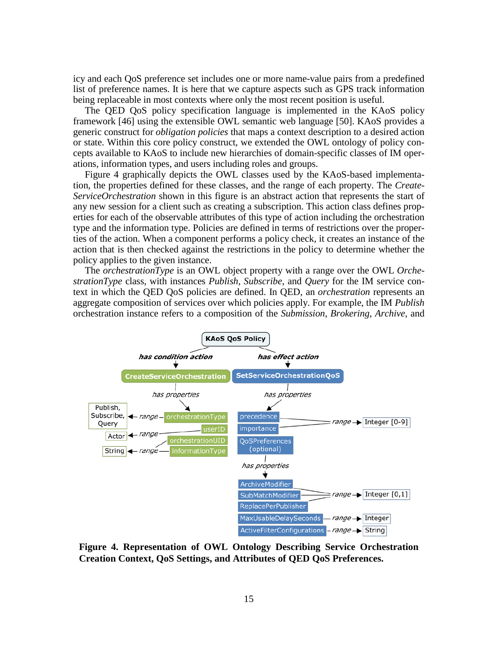icy and each QoS preference set includes one or more name-value pairs from a predefined list of preference names. It is here that we capture aspects such as GPS track information being replaceable in most contexts where only the most recent position is useful.

The QED QoS policy specification language is implemented in the KAoS policy framework [\[46\]](#page-37-11) using the extensible OWL semantic web language [\[50\]](#page-37-12). KAoS provides a generic construct for *obligation policies* that maps a context description to a desired action or state. Within this core policy construct, we extended the OWL ontology of policy concepts available to KAoS to include new hierarchies of domain-specific classes of IM operations, information types, and users including roles and groups.

[Figure 4](#page-14-0) graphically depicts the OWL classes used by the KAoS-based implementation, the properties defined for these classes, and the range of each property. The *Create-ServiceOrchestration* shown in this figure is an abstract action that represents the start of any new session for a client such as creating a subscription. This action class defines properties for each of the observable attributes of this type of action including the orchestration type and the information type. Policies are defined in terms of restrictions over the properties of the action. When a component performs a policy check, it creates an instance of the action that is then checked against the restrictions in the policy to determine whether the policy applies to the given instance.

The *orchestrationType* is an OWL object property with a range over the OWL *OrchestrationType* class, with instances *Publish*, *Subscribe*, and *Query* for the IM service context in which the QED QoS policies are defined. In QED, an *orchestration* represents an aggregate composition of services over which policies apply. For example, the IM *Publish* orchestration instance refers to a composition of the *Submission*, *Brokering*, *Archive*, and



<span id="page-14-0"></span>**Figure 4. Representation of OWL Ontology Describing Service Orchestration Creation Context, QoS Settings, and Attributes of QED QoS Preferences.**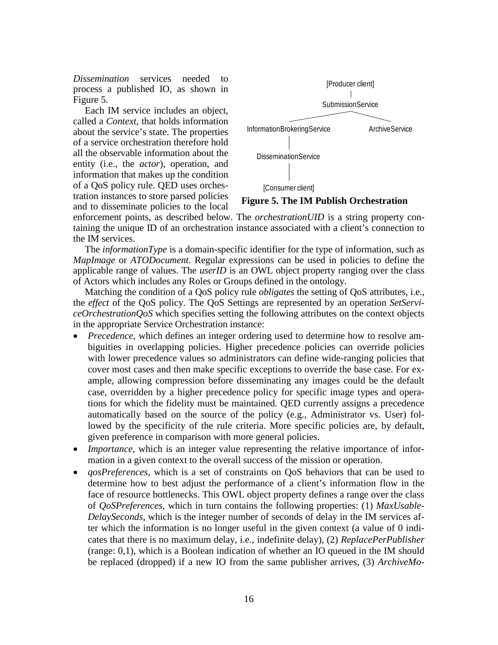*Dissemination* services needed to process a published IO, as shown in [Figure 5.](#page-15-0)

Each IM service includes an object, called a *Context*, that holds information about the service's state. The properties of a service orchestration therefore hold all the observable information about the entity (i.e., the *actor*), operation, and information that makes up the condition of a QoS policy rule. QED uses orchestration instances to store parsed policies and to disseminate policies to the local



#### <span id="page-15-0"></span>**Figure 5. The IM Publish Orchestration**

enforcement points, as described below. The *orchestrationUID* is a string property containing the unique ID of an orchestration instance associated with a client's connection to the IM services.

The *informationType* is a domain-specific identifier for the type of information, such as *MapImage* or *ATODocument*. Regular expressions can be used in policies to define the applicable range of values. The *userID* is an OWL object property ranging over the class of Actors which includes any Roles or Groups defined in the ontology.

Matching the condition of a QoS policy rule *obligates* the setting of QoS attributes, i.e., the *effect* of the QoS policy. The QoS Settings are represented by an operation *SetServiceOrchestrationQoS* which specifies setting the following attributes on the context objects in the appropriate Service Orchestration instance:

- *Precedence*, which defines an integer ordering used to determine how to resolve ambiguities in overlapping policies. Higher precedence policies can override policies with lower precedence values so administrators can define wide-ranging policies that cover most cases and then make specific exceptions to override the base case. For example, allowing compression before disseminating any images could be the default case, overridden by a higher precedence policy for specific image types and operations for which the fidelity must be maintained. QED currently assigns a precedence automatically based on the source of the policy (e.g., Administrator vs. User) followed by the specificity of the rule criteria. More specific policies are, by default, given preference in comparison with more general policies.
- *Importance*, which is an integer value representing the relative importance of information in a given context to the overall success of the mission or operation.
- *qosPreferences*, which is a set of constraints on QoS behaviors that can be used to determine how to best adjust the performance of a client's information flow in the face of resource bottlenecks. This OWL object property defines a range over the class of *QoSPreferences*, which in turn contains the following properties: (1) *MaxUsable-DelaySeconds*, which is the integer number of seconds of delay in the IM services after which the information is no longer useful in the given context (a value of 0 indicates that there is no maximum delay, i.e., indefinite delay), (2) *ReplacePerPublisher* (range: 0,1), which is a Boolean indication of whether an IO queued in the IM should be replaced (dropped) if a new IO from the same publisher arrives, (3) *ArchiveMo-*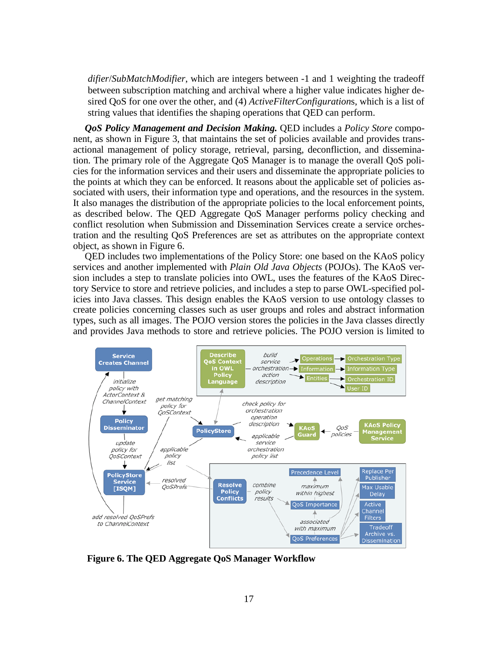*difier*/*SubMatchModifier*, which are integers between -1 and 1 weighting the tradeoff between subscription matching and archival where a higher value indicates higher desired QoS for one over the other, and (4) *ActiveFilterConfiguration*s, which is a list of string values that identifies the shaping operations that QED can perform.

*QoS Policy Management and Decision Making.* QED includes a *Policy Store* component, as shown in [Figure 3,](#page-12-0) that maintains the set of policies available and provides transactional management of policy storage, retrieval, parsing, deconfliction, and dissemination. The primary role of the Aggregate QoS Manager is to manage the overall QoS policies for the information services and their users and disseminate the appropriate policies to the points at which they can be enforced. It reasons about the applicable set of policies associated with users, their information type and operations, and the resources in the system. It also manages the distribution of the appropriate policies to the local enforcement points, as described below. The QED Aggregate QoS Manager performs policy checking and conflict resolution when Submission and Dissemination Services create a service orchestration and the resulting QoS Preferences are set as attributes on the appropriate context object, as shown in [Figure 6.](#page-16-0)

QED includes two implementations of the Policy Store: one based on the KAoS policy services and another implemented with *Plain Old Java Objects* (POJOs). The KAoS version includes a step to translate policies into OWL, uses the features of the KAoS Directory Service to store and retrieve policies, and includes a step to parse OWL-specified policies into Java classes. This design enables the KAoS version to use ontology classes to create policies concerning classes such as user groups and roles and abstract information types, such as all images. The POJO version stores the policies in the Java classes directly and provides Java methods to store and retrieve policies. The POJO version is limited to



<span id="page-16-0"></span>**Figure 6. The QED Aggregate QoS Manager Workflow**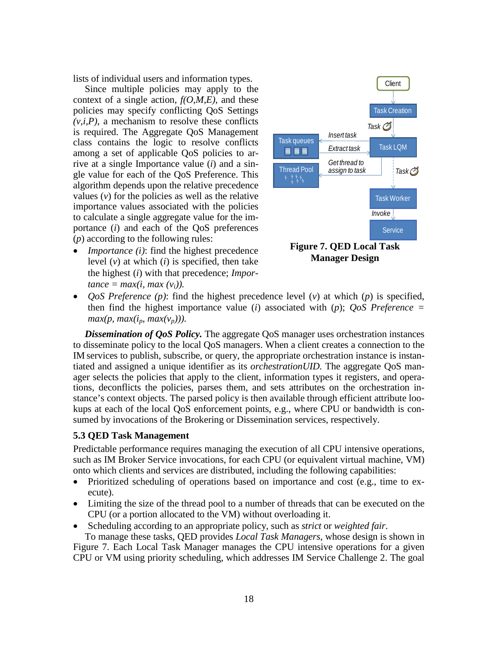lists of individual users and information types.

Since multiple policies may apply to the context of a single action,  $f(0,M,E)$ , and these policies may specify conflicting QoS Settings  $(v, i, P)$ , a mechanism to resolve these conflicts is required. The Aggregate QoS Management class contains the logic to resolve conflicts among a set of applicable QoS policies to arrive at a single Importance value (*i*) and a single value for each of the QoS Preference. This algorithm depends upon the relative precedence values  $(v)$  for the policies as well as the relative importance values associated with the policies to calculate a single aggregate value for the importance (*i*) and each of the QoS preferences (*p*) according to the following rules:

*Importance (i)*: find the highest precedence level (*v*) at which (*i*) is specified, then take the highest (*i*) with that precedence; *Impor* $tance = max(i, max (v_i)).$ 



<span id="page-17-0"></span>**Manager Design**

• *QoS Preference (p)*: find the highest precedence level (*v*) at which (*p*) is specified, then find the highest importance value (*i*) associated with (*p*); *QoS Preference* =  $max(p, max(i_p, max(v_p))).$ 

*Dissemination of QoS Policy.* The aggregate QoS manager uses orchestration instances to disseminate policy to the local QoS managers. When a client creates a connection to the IM services to publish, subscribe, or query, the appropriate orchestration instance is instantiated and assigned a unique identifier as its *orchestrationUID.* The aggregate QoS manager selects the policies that apply to the client, information types it registers, and operations, deconflicts the policies, parses them, and sets attributes on the orchestration instance's context objects. The parsed policy is then available through efficient attribute lookups at each of the local QoS enforcement points, e.g., where CPU or bandwidth is consumed by invocations of the Brokering or Dissemination services, respectively.

### <span id="page-17-1"></span>**5.3 QED Task Management**

Predictable performance requires managing the execution of all CPU intensive operations, such as IM Broker Service invocations, for each CPU (or equivalent virtual machine, VM) onto which clients and services are distributed, including the following capabilities:

- Prioritized scheduling of operations based on importance and cost (e.g., time to execute).
- Limiting the size of the thread pool to a number of threads that can be executed on the CPU (or a portion allocated to the VM) without overloading it.
- Scheduling according to an appropriate policy, such as *strict* or *weighted fair*.

To manage these tasks, QED provides *Local Task Managers*, whose design is shown in [Figure 7.](#page-17-0) Each Local Task Manager manages the CPU intensive operations for a given CPU or VM using priority scheduling, which addresses IM Service Challenge 2. The goal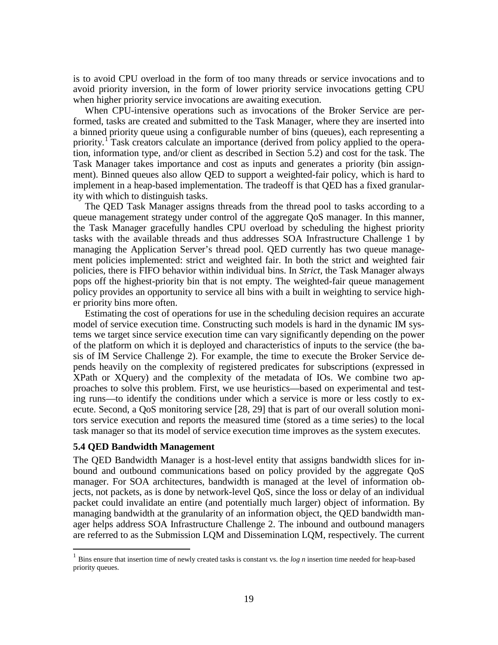is to avoid CPU overload in the form of too many threads or service invocations and to avoid priority inversion, in the form of lower priority service invocations getting CPU when higher priority service invocations are awaiting execution.

When CPU-intensive operations such as invocations of the Broker Service are performed, tasks are created and submitted to the Task Manager, where they are inserted into a binned priority queue using a configurable number of bins (queues), each representing a priority.<sup>[1](#page-18-0)</sup> Task creators calculate an importance (derived from policy applied to the operation, information type, and/or client as described in Section 5.2) and cost for the task. The Task Manager takes importance and cost as inputs and generates a priority (bin assignment). Binned queues also allow QED to support a weighted-fair policy, which is hard to implement in a heap-based implementation. The tradeoff is that QED has a fixed granularity with which to distinguish tasks.

The QED Task Manager assigns threads from the thread pool to tasks according to a queue management strategy under control of the aggregate QoS manager. In this manner, the Task Manager gracefully handles CPU overload by scheduling the highest priority tasks with the available threads and thus addresses SOA Infrastructure Challenge 1 by managing the Application Server's thread pool. QED currently has two queue management policies implemented: strict and weighted fair. In both the strict and weighted fair policies, there is FIFO behavior within individual bins. In *Strict*, the Task Manager always pops off the highest-priority bin that is not empty. The weighted-fair queue management policy provides an opportunity to service all bins with a built in weighting to service higher priority bins more often.

Estimating the cost of operations for use in the scheduling decision requires an accurate model of service execution time. Constructing such models is hard in the dynamic IM systems we target since service execution time can vary significantly depending on the power of the platform on which it is deployed and characteristics of inputs to the service (the basis of IM Service Challenge 2). For example, the time to execute the Broker Service depends heavily on the complexity of registered predicates for subscriptions (expressed in XPath or XQuery) and the complexity of the metadata of IOs. We combine two approaches to solve this problem. First, we use heuristics—based on experimental and testing runs—to identify the conditions under which a service is more or less costly to execute. Second, a QoS monitoring service [\[28,](#page-35-3) [29\]](#page-35-4) that is part of our overall solution monitors service execution and reports the measured time (stored as a time series) to the local task manager so that its model of service execution time improves as the system executes.

### **5.4 QED Bandwidth Management**

The QED Bandwidth Manager is a host-level entity that assigns bandwidth slices for inbound and outbound communications based on policy provided by the aggregate QoS manager. For SOA architectures, bandwidth is managed at the level of information objects, not packets, as is done by network-level QoS, since the loss or delay of an individual packet could invalidate an entire (and potentially much larger) object of information. By managing bandwidth at the granularity of an information object, the QED bandwidth manager helps address SOA Infrastructure Challenge 2. The inbound and outbound managers are referred to as the Submission LQM and Dissemination LQM, respectively. The current

<span id="page-18-0"></span><sup>&</sup>lt;sup>1</sup> Bins ensure that insertion time of newly created tasks is constant vs. the *log n* insertion time needed for heap-based priority queues.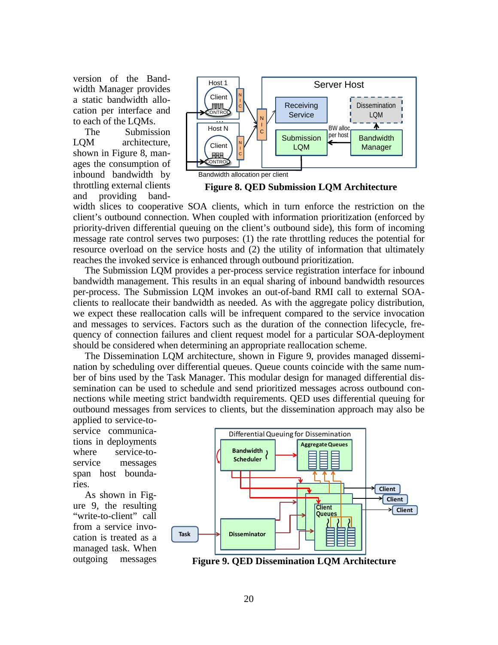version of the Bandwidth Manager provides a static bandwidth allocation per interface and to each of the LQMs.

The Submission LQM architecture, shown in [Figure 8,](#page-19-0) manages the consumption of inbound bandwidth by throttling external clients and providing band-



<span id="page-19-0"></span>Bandwidth allocation per client

**Figure 8. QED Submission LQM Architecture**

width slices to cooperative SOA clients, which in turn enforce the restriction on the client's outbound connection. When coupled with information prioritization (enforced by priority-driven differential queuing on the client's outbound side), this form of incoming message rate control serves two purposes: (1) the rate throttling reduces the potential for resource overload on the service hosts and (2) the utility of information that ultimately reaches the invoked service is enhanced through outbound prioritization.

The Submission LQM provides a per-process service registration interface for inbound bandwidth management. This results in an equal sharing of inbound bandwidth resources per-process. The Submission LQM invokes an out-of-band RMI call to external SOAclients to reallocate their bandwidth as needed. As with the aggregate policy distribution, we expect these reallocation calls will be infrequent compared to the service invocation and messages to services. Factors such as the duration of the connection lifecycle, frequency of connection failures and client request model for a particular SOA-deployment should be considered when determining an appropriate reallocation scheme.

The Dissemination LQM architecture, shown in [Figure 9,](#page-19-1) provides managed dissemination by scheduling over differential queues. Queue counts coincide with the same number of bins used by the Task Manager. This modular design for managed differential dissemination can be used to schedule and send prioritized messages across outbound connections while meeting strict bandwidth requirements. QED uses differential queuing for outbound messages from services to clients, but the dissemination approach may also be

applied to service-toservice communications in deployments where service-toservice messages span host boundaries.

As shown in [Fig](#page-19-1)[ure 9,](#page-19-1) the resulting "write-to-client" call from a service invocation is treated as a managed task. When



<span id="page-19-1"></span>outgoing messages **Figure 9. QED Dissemination LQM Architecture**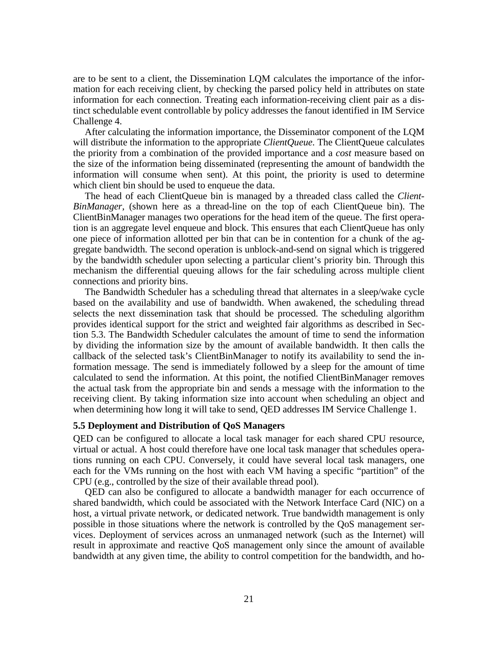are to be sent to a client, the Dissemination LQM calculates the importance of the information for each receiving client, by checking the parsed policy held in attributes on state information for each connection. Treating each information-receiving client pair as a distinct schedulable event controllable by policy addresses the fanout identified in IM Service Challenge 4.

After calculating the information importance, the Disseminator component of the LQM will distribute the information to the appropriate *ClientQueue*. The ClientQueue calculates the priority from a combination of the provided importance and a *cost* measure based on the size of the information being disseminated (representing the amount of bandwidth the information will consume when sent). At this point, the priority is used to determine which client bin should be used to enqueue the data.

The head of each ClientQueue bin is managed by a threaded class called the *Client-BinManager*, (shown here as a thread-line on the top of each ClientQueue bin). The ClientBinManager manages two operations for the head item of the queue. The first operation is an aggregate level enqueue and block. This ensures that each ClientQueue has only one piece of information allotted per bin that can be in contention for a chunk of the aggregate bandwidth. The second operation is unblock-and-send on signal which is triggered by the bandwidth scheduler upon selecting a particular client's priority bin. Through this mechanism the differential queuing allows for the fair scheduling across multiple client connections and priority bins.

The Bandwidth Scheduler has a scheduling thread that alternates in a sleep/wake cycle based on the availability and use of bandwidth. When awakened, the scheduling thread selects the next dissemination task that should be processed. The scheduling algorithm provides identical support for the strict and weighted fair algorithms as described in Section [5.3.](#page-17-1) The Bandwidth Scheduler calculates the amount of time to send the information by dividing the information size by the amount of available bandwidth. It then calls the callback of the selected task's ClientBinManager to notify its availability to send the information message. The send is immediately followed by a sleep for the amount of time calculated to send the information. At this point, the notified ClientBinManager removes the actual task from the appropriate bin and sends a message with the information to the receiving client. By taking information size into account when scheduling an object and when determining how long it will take to send, QED addresses IM Service Challenge 1.

### **5.5 Deployment and Distribution of QoS Managers**

QED can be configured to allocate a local task manager for each shared CPU resource, virtual or actual. A host could therefore have one local task manager that schedules operations running on each CPU. Conversely, it could have several local task managers, one each for the VMs running on the host with each VM having a specific "partition" of the CPU (e.g., controlled by the size of their available thread pool).

QED can also be configured to allocate a bandwidth manager for each occurrence of shared bandwidth, which could be associated with the Network Interface Card (NIC) on a host, a virtual private network, or dedicated network. True bandwidth management is only possible in those situations where the network is controlled by the QoS management services. Deployment of services across an unmanaged network (such as the Internet) will result in approximate and reactive QoS management only since the amount of available bandwidth at any given time, the ability to control competition for the bandwidth, and ho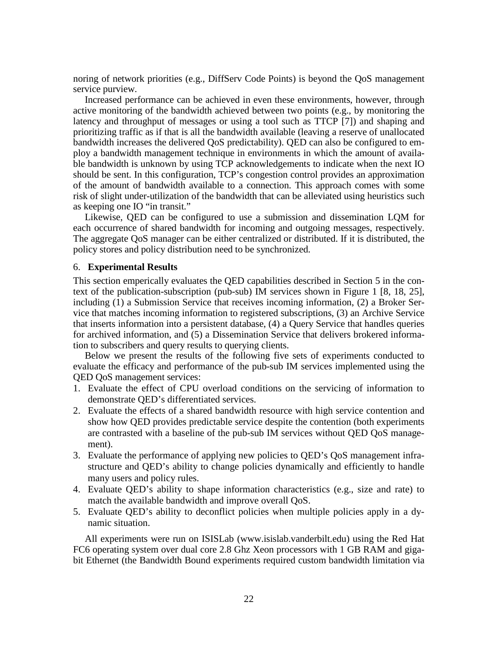noring of network priorities (e.g., DiffServ Code Points) is beyond the QoS management service purview.

Increased performance can be achieved in even these environments, however, through active monitoring of the bandwidth achieved between two points (e.g., by monitoring the latency and throughput of messages or using a tool such as TTCP [\[7\]](#page-34-14)) and shaping and prioritizing traffic as if that is all the bandwidth available (leaving a reserve of unallocated bandwidth increases the delivered QoS predictability). QED can also be configured to employ a bandwidth management technique in environments in which the amount of available bandwidth is unknown by using TCP acknowledgements to indicate when the next IO should be sent. In this configuration, TCP's congestion control provides an approximation of the amount of bandwidth available to a connection. This approach comes with some risk of slight under-utilization of the bandwidth that can be alleviated using heuristics such as keeping one IO "in transit."

Likewise, QED can be configured to use a submission and dissemination LQM for each occurrence of shared bandwidth for incoming and outgoing messages, respectively. The aggregate QoS manager can be either centralized or distributed. If it is distributed, the policy stores and policy distribution need to be synchronized.

#### <span id="page-21-0"></span>6. **Experimental Results**

This section emperically evaluates the QED capabilities described in Section [5](#page-10-0) in the context of the publication-subscription (pub-sub) IM services shown in [Figure 1](#page-1-0) [\[8,](#page-34-2) [18,](#page-35-1) [25\]](#page-35-0), including (1) a Submission Service that receives incoming information, (2) a Broker Service that matches incoming information to registered subscriptions, (3) an Archive Service that inserts information into a persistent database, (4) a Query Service that handles queries for archived information, and (5) a Dissemination Service that delivers brokered information to subscribers and query results to querying clients.

Below we present the results of the following five sets of experiments conducted to evaluate the efficacy and performance of the pub-sub IM services implemented using the QED QoS management services:

- 1. Evaluate the effect of CPU overload conditions on the servicing of information to demonstrate QED's differentiated services.
- 2. Evaluate the effects of a shared bandwidth resource with high service contention and show how QED provides predictable service despite the contention (both experiments are contrasted with a baseline of the pub-sub IM services without QED QoS management).
- 3. Evaluate the performance of applying new policies to QED's QoS management infrastructure and QED's ability to change policies dynamically and efficiently to handle many users and policy rules.
- 4. Evaluate QED's ability to shape information characteristics (e.g., size and rate) to match the available bandwidth and improve overall QoS.
- 5. Evaluate QED's ability to deconflict policies when multiple policies apply in a dynamic situation.

All experiments were run on ISISLab (www.isislab.vanderbilt.edu) using the Red Hat FC6 operating system over dual core 2.8 Ghz Xeon processors with 1 GB RAM and gigabit Ethernet (the Bandwidth Bound experiments required custom bandwidth limitation via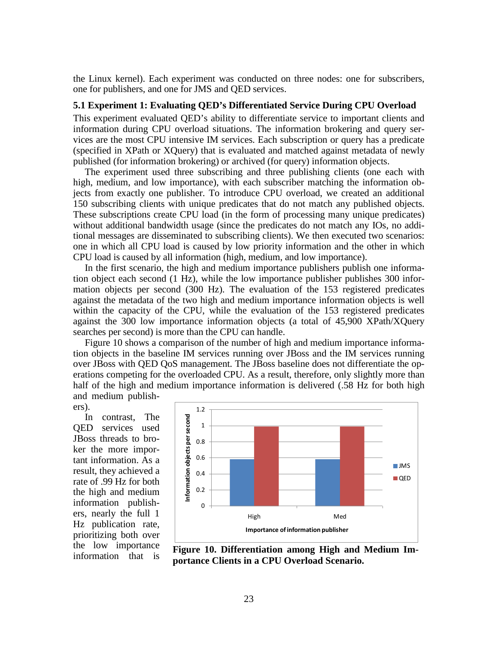the Linux kernel). Each experiment was conducted on three nodes: one for subscribers, one for publishers, and one for JMS and QED services.

#### **5.1 Experiment 1: Evaluating QED's Differentiated Service During CPU Overload**

This experiment evaluated QED's ability to differentiate service to important clients and information during CPU overload situations. The information brokering and query services are the most CPU intensive IM services. Each subscription or query has a predicate (specified in XPath or XQuery) that is evaluated and matched against metadata of newly published (for information brokering) or archived (for query) information objects.

The experiment used three subscribing and three publishing clients (one each with high, medium, and low importance), with each subscriber matching the information objects from exactly one publisher. To introduce CPU overload, we created an additional 150 subscribing clients with unique predicates that do not match any published objects. These subscriptions create CPU load (in the form of processing many unique predicates) without additional bandwidth usage (since the predicates do not match any IOs, no additional messages are disseminated to subscribing clients). We then executed two scenarios: one in which all CPU load is caused by low priority information and the other in which CPU load is caused by all information (high, medium, and low importance).

In the first scenario, the high and medium importance publishers publish one information object each second (1 Hz), while the low importance publisher publishes 300 information objects per second (300 Hz). The evaluation of the 153 registered predicates against the metadata of the two high and medium importance information objects is well within the capacity of the CPU, while the evaluation of the 153 registered predicates against the 300 low importance information objects (a total of 45,900 XPath/XQuery searches per second) is more than the CPU can handle.

[Figure 10](#page-22-0) shows a comparison of the number of high and medium importance information objects in the baseline IM services running over JBoss and the IM services running over JBoss with QED QoS management. The JBoss baseline does not differentiate the operations competing for the overloaded CPU. As a result, therefore, only slightly more than half of the high and medium importance information is delivered (.58 Hz for both high and medium publish-

ers).

In contrast, The QED services used JBoss threads to broker the more important information. As a result, they achieved a rate of .99 Hz for both the high and medium information publishers, nearly the full 1 Hz publication rate, prioritizing both over the low importance



<span id="page-22-0"></span>Information that is **Figure 10. Differentiation among High and Medium Im-**<br>information that is *nontance* Clientaire CDU Openheed Securents **portance Clients in a CPU Overload Scenario.**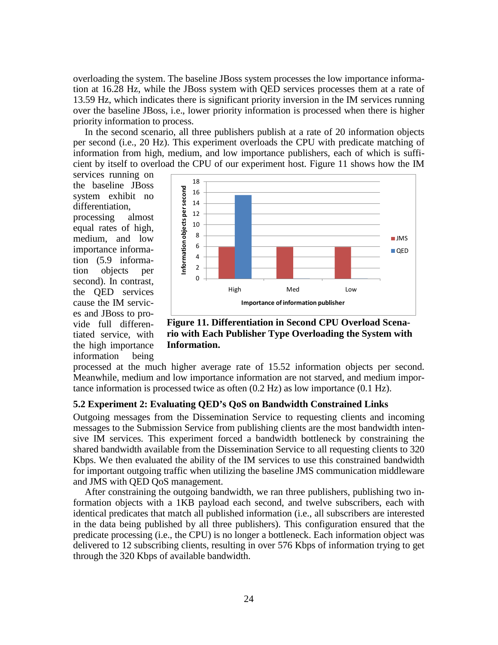overloading the system. The baseline JBoss system processes the low importance information at 16.28 Hz, while the JBoss system with QED services processes them at a rate of 13.59 Hz, which indicates there is significant priority inversion in the IM services running over the baseline JBoss, i.e., lower priority information is processed when there is higher priority information to process.

In the second scenario, all three publishers publish at a rate of 20 information objects per second (i.e., 20 Hz). This experiment overloads the CPU with predicate matching of information from high, medium, and low importance publishers, each of which is sufficient by itself to overload the CPU of our experiment host. [Figure 11](#page-23-0) shows how the IM

services running on the baseline JBoss system exhibit no differentiation, processing almost equal rates of high, medium, and low importance information (5.9 information objects per second). In contrast, the QED services cause the IM services and JBoss to provide full differentiated service, with the high importance information being



<span id="page-23-0"></span>**Figure 11. Differentiation in Second CPU Overload Scenario with Each Publisher Type Overloading the System with Information.**

processed at the much higher average rate of 15.52 information objects per second. Meanwhile, medium and low importance information are not starved, and medium importance information is processed twice as often (0.2 Hz) as low importance (0.1 Hz).

### **5.2 Experiment 2: Evaluating QED's QoS on Bandwidth Constrained Links**

Outgoing messages from the Dissemination Service to requesting clients and incoming messages to the Submission Service from publishing clients are the most bandwidth intensive IM services. This experiment forced a bandwidth bottleneck by constraining the shared bandwidth available from the Dissemination Service to all requesting clients to 320 Kbps. We then evaluated the ability of the IM services to use this constrained bandwidth for important outgoing traffic when utilizing the baseline JMS communication middleware and JMS with QED QoS management.

After constraining the outgoing bandwidth, we ran three publishers, publishing two information objects with a 1KB payload each second, and twelve subscribers, each with identical predicates that match all published information (i.e., all subscribers are interested in the data being published by all three publishers). This configuration ensured that the predicate processing (i.e., the CPU) is no longer a bottleneck. Each information object was delivered to 12 subscribing clients, resulting in over 576 Kbps of information trying to get through the 320 Kbps of available bandwidth.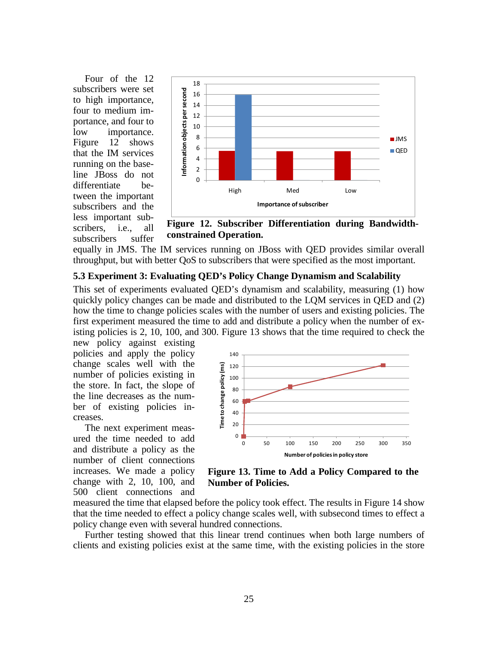Four of the 12 subscribers were set to high importance, four to medium importance, and four to low importance. [Figure 12](#page-24-0) shows that the IM services running on the baseline JBoss do not differentiate between the important subscribers and the less important subscribers, *i.e.*, all subscribers suffer



<span id="page-24-0"></span>**Figure 12. Subscriber Differentiation during Bandwidthconstrained Operation.**

equally in JMS. The IM services running on JBoss with QED provides similar overall throughput, but with better QoS to subscribers that were specified as the most important.

#### **5.3 Experiment 3: Evaluating QED's Policy Change Dynamism and Scalability**

This set of experiments evaluated QED's dynamism and scalability, measuring (1) how quickly policy changes can be made and distributed to the LQM services in QED and (2) how the time to change policies scales with the number of users and existing policies. The first experiment measured the time to add and distribute a policy when the number of existing policies is 2, 10, 100, and 300. [Figure 13](#page-24-1) shows that the time required to check the

new policy against existing policies and apply the policy change scales well with the number of policies existing in the store. In fact, the slope of the line decreases as the number of existing policies increases.

The next experiment measured the time needed to add and distribute a policy as the number of client connections increases. We made a policy change with 2, 10, 100, and 500 client connections and



<span id="page-24-1"></span>**Figure 13. Time to Add a Policy Compared to the Number of Policies.**

measured the time that elapsed before the policy took effect. The results in [Figure 14](#page-25-0) show that the time needed to effect a policy change scales well, with subsecond times to effect a policy change even with several hundred connections.

Further testing showed that this linear trend continues when both large numbers of clients and existing policies exist at the same time, with the existing policies in the store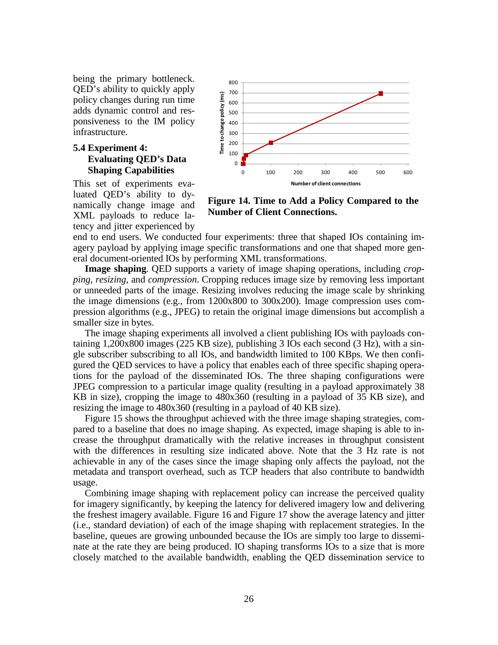being the primary bottleneck. QED's ability to quickly apply policy changes during run time adds dynamic control and responsiveness to the IM policy infrastructure.

## **5.4 Experiment 4: Evaluating QED's Data Shaping Capabilities**

This set of experiments evaluated QED's ability to dynamically change image and XML payloads to reduce latency and jitter experienced by



<span id="page-25-0"></span>**Figure 14. Time to Add a Policy Compared to the Number of Client Connections.**

end to end users. We conducted four experiments: three that shaped IOs containing imagery payload by applying image specific transformations and one that shaped more general document-oriented IOs by performing XML transformations.

**Image shaping**. QED supports a variety of image shaping operations, including *cropping*, *resizing*, and *compression*. Cropping reduces image size by removing less important or unneeded parts of the image. Resizing involves reducing the image scale by shrinking the image dimensions (e.g., from 1200x800 to 300x200). Image compression uses compression algorithms (e.g., JPEG) to retain the original image dimensions but accomplish a smaller size in bytes.

The image shaping experiments all involved a client publishing IOs with payloads containing 1,200x800 images (225 KB size), publishing 3 IOs each second (3 Hz), with a single subscriber subscribing to all IOs, and bandwidth limited to 100 KBps. We then configured the QED services to have a policy that enables each of three specific shaping operations for the payload of the disseminated IOs. The three shaping configurations were JPEG compression to a particular image quality (resulting in a payload approximately 38 KB in size), cropping the image to 480x360 (resulting in a payload of 35 KB size), and resizing the image to 480x360 (resulting in a payload of 40 KB size).

[Figure 15](#page-26-0) shows the throughput achieved with the three image shaping strategies, compared to a baseline that does no image shaping. As expected, image shaping is able to increase the throughput dramatically with the relative increases in throughput consistent with the differences in resulting size indicated above. Note that the 3 Hz rate is not achievable in any of the cases since the image shaping only affects the payload, not the metadata and transport overhead, such as TCP headers that also contribute to bandwidth usage.

Combining image shaping with replacement policy can increase the perceived quality for imagery significantly, by keeping the latency for delivered imagery low and delivering the freshest imagery available. [Figure 16](#page-26-1) and [Figure 17](#page-27-0) show the average latency and jitter (i.e., standard deviation) of each of the image shaping with replacement strategies. In the baseline, queues are growing unbounded because the IOs are simply too large to disseminate at the rate they are being produced. IO shaping transforms IOs to a size that is more closely matched to the available bandwidth, enabling the QED dissemination service to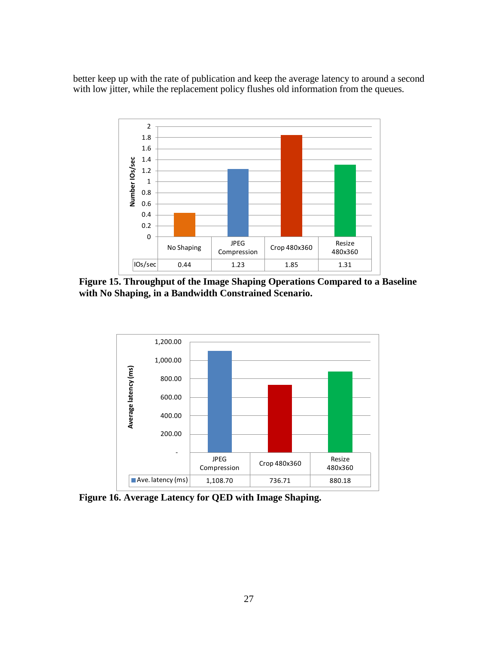better keep up with the rate of publication and keep the average latency to around a second with low jitter, while the replacement policy flushes old information from the queues.



<span id="page-26-0"></span>**Figure 15. Throughput of the Image Shaping Operations Compared to a Baseline with No Shaping, in a Bandwidth Constrained Scenario.**



<span id="page-26-1"></span>**Figure 16. Average Latency for QED with Image Shaping.**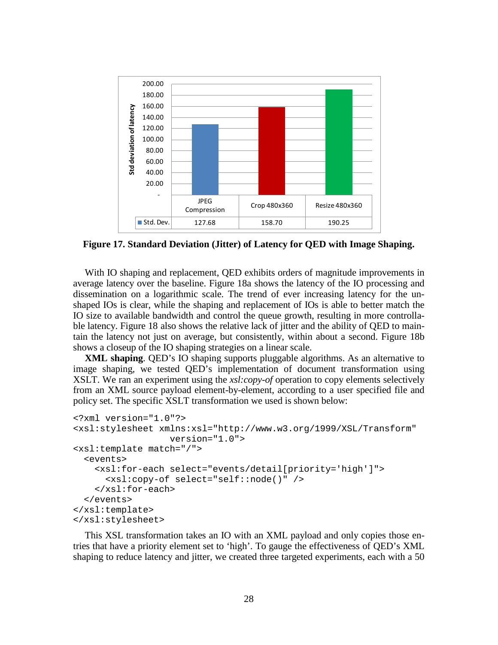

<span id="page-27-0"></span>**Figure 17. Standard Deviation (Jitter) of Latency for QED with Image Shaping.**

With IO shaping and replacement, QED exhibits orders of magnitude improvements in average latency over the baseline. [Figure 18a](#page-28-0) shows the latency of the IO processing and dissemination on a logarithmic scale. The trend of ever increasing latency for the unshaped IOs is clear, while the shaping and replacement of IOs is able to better match the IO size to available bandwidth and control the queue growth, resulting in more controllable latency. [Figure 18](#page-28-0) also shows the relative lack of jitter and the ability of QED to maintain the latency not just on average, but consistently, within about a second. [Figure 18b](#page-28-0) shows a closeup of the IO shaping strategies on a linear scale.

**XML shaping**. QED's IO shaping supports pluggable algorithms. As an alternative to image shaping, we tested QED's implementation of document transformation using XSLT. We ran an experiment using the *xsl:copy-of* operation to copy elements selectively from an XML source payload element-by-element, according to a user specified file and policy set. The specific XSLT transformation we used is shown below:

```
<?xml version="1.0"?>
<xsl:stylesheet xmlns:xsl="http://www.w3.org/1999/XSL/Transform" 
                   version="1.0">
<xsl:template match="/">
   <events>
     <xsl:for-each select="events/detail[priority='high']">
       <xsl:copy-of select="self::node()" />
     </xsl:for-each>
   </events>
</xsl:template>
</xsl:stylesheet>
```
This XSL transformation takes an IO with an XML payload and only copies those entries that have a priority element set to 'high'. To gauge the effectiveness of QED's XML shaping to reduce latency and jitter, we created three targeted experiments, each with a 50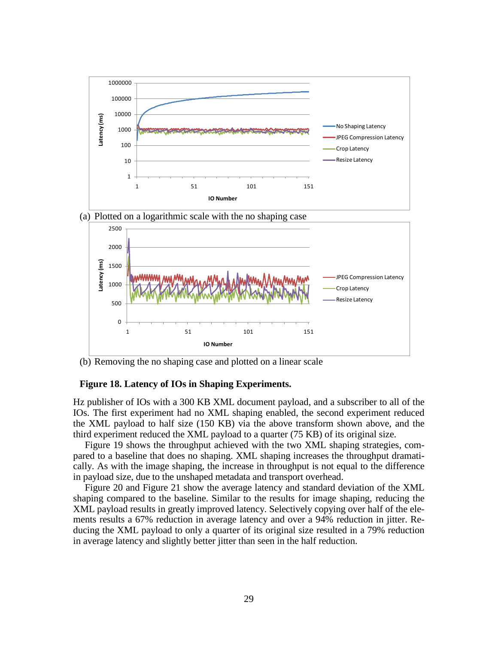

(b) Removing the no shaping case and plotted on a linear scale

#### <span id="page-28-0"></span>**Figure 18. Latency of IOs in Shaping Experiments.**

Hz publisher of IOs with a 300 KB XML document payload, and a subscriber to all of the IOs. The first experiment had no XML shaping enabled, the second experiment reduced the XML payload to half size (150 KB) via the above transform shown above, and the third experiment reduced the XML payload to a quarter (75 KB) of its original size.

[Figure 19](#page-29-0) shows the throughput achieved with the two XML shaping strategies, compared to a baseline that does no shaping. XML shaping increases the throughput dramatically. As with the image shaping, the increase in throughput is not equal to the difference in payload size, due to the unshaped metadata and transport overhead.

[Figure 20](#page-29-1) and [Figure 21](#page-30-0) show the average latency and standard deviation of the XML shaping compared to the baseline. Similar to the results for image shaping, reducing the XML payload results in greatly improved latency. Selectively copying over half of the elements results a 67% reduction in average latency and over a 94% reduction in jitter. Reducing the XML payload to only a quarter of its original size resulted in a 79% reduction in average latency and slightly better jitter than seen in the half reduction.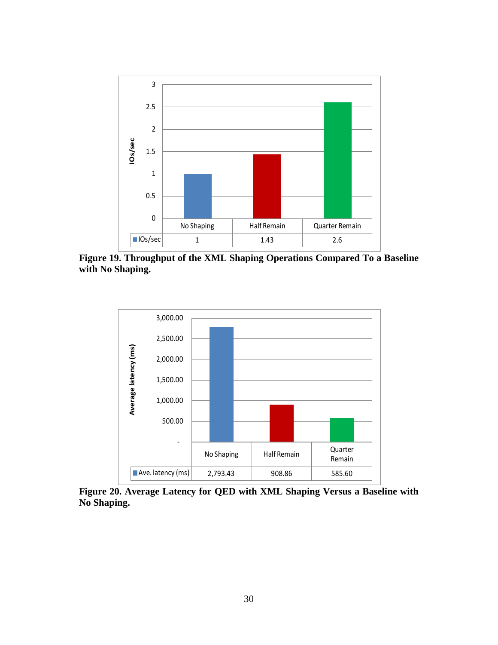

<span id="page-29-0"></span>**Figure 19. Throughput of the XML Shaping Operations Compared To a Baseline with No Shaping.**



<span id="page-29-1"></span>**Figure 20. Average Latency for QED with XML Shaping Versus a Baseline with No Shaping.**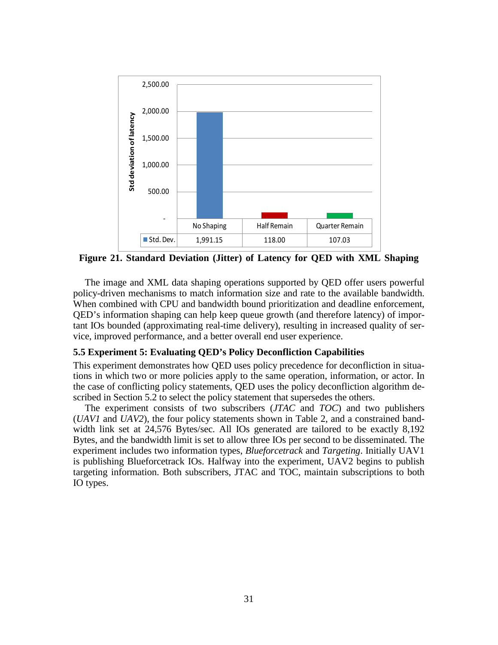

<span id="page-30-0"></span>**Figure 21. Standard Deviation (Jitter) of Latency for QED with XML Shaping** 

The image and XML data shaping operations supported by QED offer users powerful policy-driven mechanisms to match information size and rate to the available bandwidth. When combined with CPU and bandwidth bound prioritization and deadline enforcement, QED's information shaping can help keep queue growth (and therefore latency) of important IOs bounded (approximating real-time delivery), resulting in increased quality of service, improved performance, and a better overall end user experience.

#### **5.5 Experiment 5: Evaluating QED's Policy Deconfliction Capabilities**

This experiment demonstrates how QED uses policy precedence for deconfliction in situations in which two or more policies apply to the same operation, information, or actor. In the case of conflicting policy statements, QED uses the policy deconfliction algorithm described in Section [5.2](#page-13-0) to select the policy statement that supersedes the others.

The experiment consists of two subscribers (*JTAC* and *TOC*) and two publishers (*UAV1* and *UAV2*), the four policy statements shown in [Table 2,](#page-31-0) and a constrained bandwidth link set at 24,576 Bytes/sec. All IOs generated are tailored to be exactly 8,192 Bytes, and the bandwidth limit is set to allow three IOs per second to be disseminated. The experiment includes two information types, *Blueforcetrack* and *Targeting*. Initially UAV1 is publishing Blueforcetrack IOs. Halfway into the experiment, UAV2 begins to publish targeting information. Both subscribers, JTAC and TOC, maintain subscriptions to both IO types.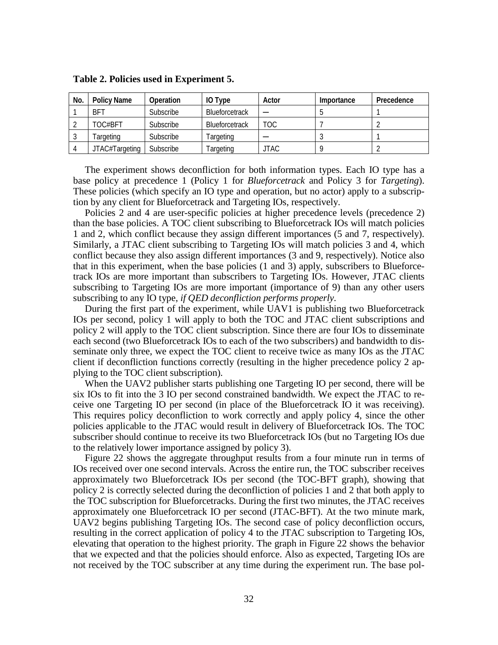| No. | <b>Policy Name</b> | <b>Operation</b> | <b>IO Type</b>        | Actor | Importance | Precedence |
|-----|--------------------|------------------|-----------------------|-------|------------|------------|
|     | <b>BFT</b>         | Subscribe        | <b>Blueforcetrack</b> |       |            |            |
|     | <b>FOC#BFT</b>     | <b>Subscribe</b> | <b>Blueforcetrack</b> | TOC   |            |            |
|     | <b>Fargeting</b>   | Subscribe        | Targeting             |       |            |            |
|     | JTAC#Targeting     | Subscribe        | Targeting             | JTAC  |            |            |

<span id="page-31-0"></span>**Table 2. Policies used in Experiment 5.**

The experiment shows deconfliction for both information types. Each IO type has a base policy at precedence 1 (Policy 1 for *Blueforcetrack* and Policy 3 for *Targeting*). These policies (which specify an IO type and operation, but no actor) apply to a subscription by any client for Blueforcetrack and Targeting IOs, respectively.

Policies 2 and 4 are user-specific policies at higher precedence levels (precedence 2) than the base policies. A TOC client subscribing to Blueforcetrack IOs will match policies 1 and 2, which conflict because they assign different importances (5 and 7, respectively). Similarly, a JTAC client subscribing to Targeting IOs will match policies 3 and 4, which conflict because they also assign different importances (3 and 9, respectively). Notice also that in this experiment, when the base policies (1 and 3) apply, subscribers to Blueforcetrack IOs are more important than subscribers to Targeting IOs. However, JTAC clients subscribing to Targeting IOs are more important (importance of 9) than any other users subscribing to any IO type, *if QED deconfliction performs properly*.

During the first part of the experiment, while UAV1 is publishing two Blueforcetrack IOs per second, policy 1 will apply to both the TOC and JTAC client subscriptions and policy 2 will apply to the TOC client subscription. Since there are four IOs to disseminate each second (two Blueforcetrack IOs to each of the two subscribers) and bandwidth to disseminate only three, we expect the TOC client to receive twice as many IOs as the JTAC client if deconfliction functions correctly (resulting in the higher precedence policy 2 applying to the TOC client subscription).

When the UAV2 publisher starts publishing one Targeting IO per second, there will be six IOs to fit into the 3 IO per second constrained bandwidth. We expect the JTAC to receive one Targeting IO per second (in place of the Blueforcetrack IO it was receiving). This requires policy deconfliction to work correctly and apply policy 4, since the other policies applicable to the JTAC would result in delivery of Blueforcetrack IOs. The TOC subscriber should continue to receive its two Blueforcetrack IOs (but no Targeting IOs due to the relatively lower importance assigned by policy 3).

[Figure 22](#page-32-1) shows the aggregate throughput results from a four minute run in terms of IOs received over one second intervals. Across the entire run, the TOC subscriber receives approximately two Blueforcetrack IOs per second (the TOC-BFT graph), showing that policy 2 is correctly selected during the deconfliction of policies 1 and 2 that both apply to the TOC subscription for Blueforcetracks. During the first two minutes, the JTAC receives approximately one Blueforcetrack IO per second (JTAC-BFT). At the two minute mark, UAV2 begins publishing Targeting IOs. The second case of policy deconfliction occurs, resulting in the correct application of policy 4 to the JTAC subscription to Targeting IOs, elevating that operation to the highest priority. The graph in [Figure 22](#page-32-1) shows the behavior that we expected and that the policies should enforce. Also as expected, Targeting IOs are not received by the TOC subscriber at any time during the experiment run. The base pol-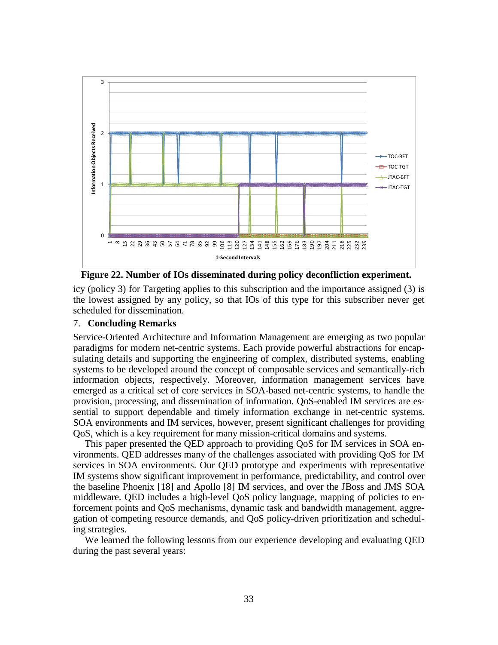

<span id="page-32-1"></span>**Figure 22. Number of IOs disseminated during policy deconfliction experiment.**

icy (policy 3) for Targeting applies to this subscription and the importance assigned (3) is the lowest assigned by any policy, so that IOs of this type for this subscriber never get scheduled for dissemination.

## <span id="page-32-0"></span>7. **Concluding Remarks**

Service-Oriented Architecture and Information Management are emerging as two popular paradigms for modern net-centric systems. Each provide powerful abstractions for encapsulating details and supporting the engineering of complex, distributed systems, enabling systems to be developed around the concept of composable services and semantically-rich information objects, respectively. Moreover, information management services have emerged as a critical set of core services in SOA-based net-centric systems, to handle the provision, processing, and dissemination of information. QoS-enabled IM services are essential to support dependable and timely information exchange in net-centric systems. SOA environments and IM services, however, present significant challenges for providing QoS, which is a key requirement for many mission-critical domains and systems.

This paper presented the QED approach to providing QoS for IM services in SOA environments. QED addresses many of the challenges associated with providing QoS for IM services in SOA environments. Our QED prototype and experiments with representative IM systems show significant improvement in performance, predictability, and control over the baseline Phoenix [\[18\]](#page-35-1) and Apollo [\[8\]](#page-34-2) IM services, and over the JBoss and JMS SOA middleware. QED includes a high-level QoS policy language, mapping of policies to enforcement points and QoS mechanisms, dynamic task and bandwidth management, aggregation of competing resource demands, and QoS policy-driven prioritization and scheduling strategies.

We learned the following lessons from our experience developing and evaluating QED during the past several years: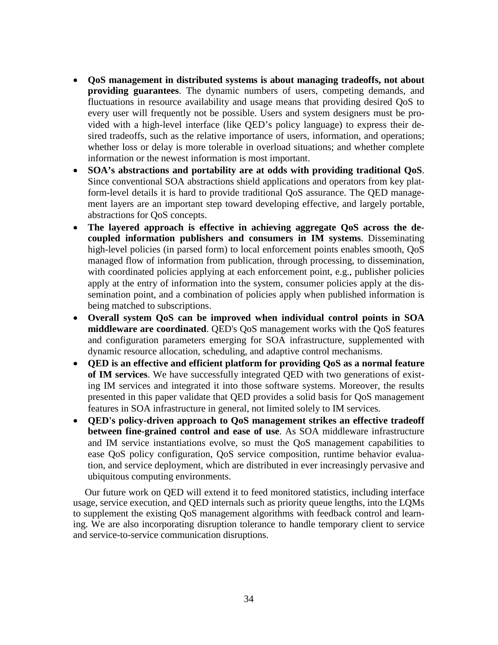- **QoS management in distributed systems is about managing tradeoffs, not about providing guarantees**. The dynamic numbers of users, competing demands, and fluctuations in resource availability and usage means that providing desired QoS to every user will frequently not be possible. Users and system designers must be provided with a high-level interface (like QED's policy language) to express their desired tradeoffs, such as the relative importance of users, information, and operations; whether loss or delay is more tolerable in overload situations; and whether complete information or the newest information is most important.
- **SOA's abstractions and portability are at odds with providing traditional QoS**. Since conventional SOA abstractions shield applications and operators from key platform-level details it is hard to provide traditional QoS assurance. The QED management layers are an important step toward developing effective, and largely portable, abstractions for QoS concepts.
- **The layered approach is effective in achieving aggregate QoS across the decoupled information publishers and consumers in IM systems**. Disseminating high-level policies (in parsed form) to local enforcement points enables smooth, QoS managed flow of information from publication, through processing, to dissemination, with coordinated policies applying at each enforcement point, e.g., publisher policies apply at the entry of information into the system, consumer policies apply at the dissemination point, and a combination of policies apply when published information is being matched to subscriptions.
- **Overall system QoS can be improved when individual control points in SOA middleware are coordinated**. QED's QoS management works with the QoS features and configuration parameters emerging for SOA infrastructure, supplemented with dynamic resource allocation, scheduling, and adaptive control mechanisms.
- **QED is an effective and efficient platform for providing QoS as a normal feature of IM services**. We have successfully integrated QED with two generations of existing IM services and integrated it into those software systems. Moreover, the results presented in this paper validate that QED provides a solid basis for QoS management features in SOA infrastructure in general, not limited solely to IM services.
- **QED's policy-driven approach to QoS management strikes an effective tradeoff between fine-grained control and ease of use**. As SOA middleware infrastructure and IM service instantiations evolve, so must the QoS management capabilities to ease QoS policy configuration, QoS service composition, runtime behavior evaluation, and service deployment, which are distributed in ever increasingly pervasive and ubiquitous computing environments.

Our future work on QED will extend it to feed monitored statistics, including interface usage, service execution, and QED internals such as priority queue lengths, into the LQMs to supplement the existing QoS management algorithms with feedback control and learning. We are also incorporating disruption tolerance to handle temporary client to service and service-to-service communication disruptions.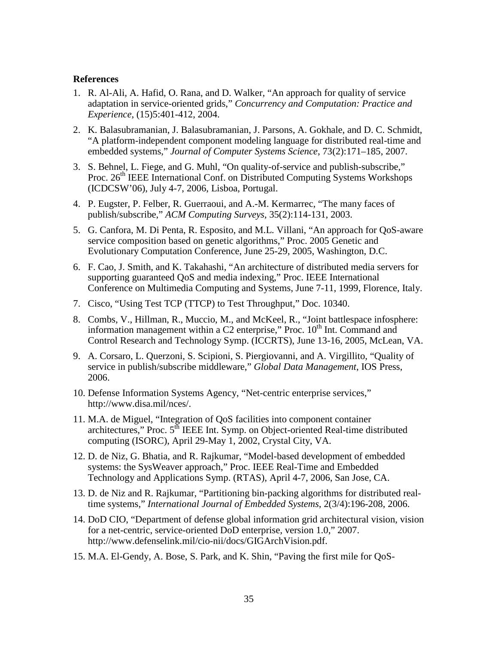#### **References**

- <span id="page-34-4"></span>1. R. Al-Ali, A. Hafid, O. Rana, and D. Walker, "An approach for quality of service adaptation in service-oriented grids," *Concurrency and Computation: Practice and Experience*, (15)5:401-412, 2004.
- <span id="page-34-12"></span>2. K. Balasubramanian, J. Balasubramanian, J. Parsons, A. Gokhale, and D. C. Schmidt, "A platform-independent component modeling language for distributed real-time and embedded systems," *Journal of Computer Systems Science*, 73(2):171–185, 2007.
- <span id="page-34-8"></span>3. S. Behnel, L. Fiege, and G. Muhl, "On quality-of-service and publish-subscribe," Proc. 26<sup>th</sup> IEEE International Conf. on Distributed Computing Systems Workshops (ICDCSW'06), July 4-7, 2006, Lisboa, Portugal.
- <span id="page-34-6"></span>4. P. Eugster, P. Felber, R. Guerraoui, and A.-M. Kermarrec, "The many faces of publish/subscribe," *ACM Computing Surveys,* 35(2):114-131, 2003.
- <span id="page-34-5"></span>5. G. Canfora, M. Di Penta, R. Esposito, and M.L. Villani, "An approach for QoS-aware service composition based on genetic algorithms," Proc. 2005 Genetic and Evolutionary Computation Conference, June 25-29, 2005, Washington, D.C.
- <span id="page-34-10"></span>6. F. Cao, J. Smith, and K. Takahashi, "An architecture of distributed media servers for supporting guaranteed QoS and media indexing," Proc. IEEE International Conference on Multimedia Computing and Systems, June 7-11, 1999, Florence, Italy.
- <span id="page-34-14"></span>7. Cisco, "Using Test TCP (TTCP) to Test Throughput," Doc. 10340.
- <span id="page-34-2"></span>8. Combs, V., Hillman, R., Muccio, M., and McKeel, R., "Joint battlespace infosphere: information management within a C2 enterprise," Proc.  $10^{th}$  Int. Command and Control Research and Technology Symp. (ICCRTS), June 13-16, 2005, McLean, VA.
- <span id="page-34-7"></span>9. A. Corsaro, L. Querzoni, S. Scipioni, S. Piergiovanni, and A. Virgillito, "Quality of service in publish/subscribe middleware," *Global Data Management*, IOS Press, 2006.
- <span id="page-34-0"></span>10. Defense Information Systems Agency, "Net-centric enterprise services," http://www.disa.mil/nces/.
- <span id="page-34-3"></span>11. M.A. de Miguel, "Integration of QoS facilities into component container architectures," Proc. 5<sup>th</sup> IEEE Int. Symp. on Object-oriented Real-time distributed computing (ISORC), April 29-May 1, 2002, Crystal City, VA.
- <span id="page-34-13"></span>12. D. de Niz, G. Bhatia, and R. Rajkumar, "Model-based development of embedded systems: the SysWeaver approach," Proc. IEEE Real-Time and Embedded Technology and Applications Symp. (RTAS), April 4-7, 2006, San Jose, CA.
- <span id="page-34-11"></span>13. D. de Niz and R. Rajkumar, "Partitioning bin-packing algorithms for distributed realtime systems," *International Journal of Embedded Systems*, 2(3/4):196-208, 2006.
- <span id="page-34-1"></span>14. DoD CIO, "Department of defense global information grid architectural vision, vision for a net-centric, service-oriented DoD enterprise, version 1.0," 2007. http://www.defenselink.mil/cio-nii/docs/GIGArchVision.pdf.
- <span id="page-34-9"></span>15. M.A. El-Gendy, A. Bose, S. Park, and K. Shin, "Paving the first mile for QoS-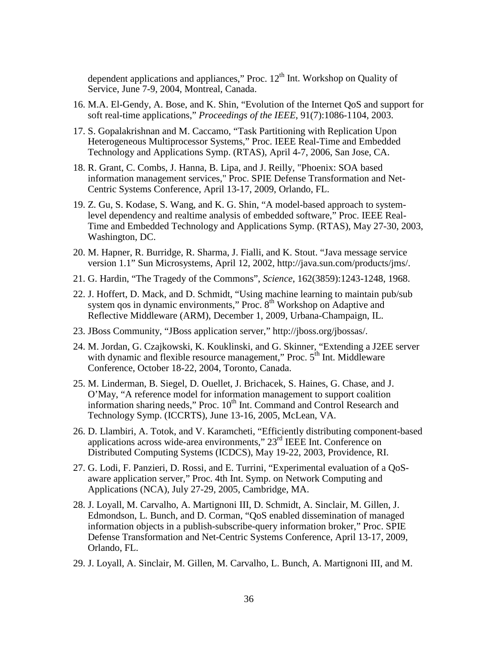dependent applications and appliances," Proc.  $12<sup>th</sup>$  Int. Workshop on Quality of Service, June 7-9, 2004, Montreal, Canada.

- <span id="page-35-8"></span>16. M.A. El-Gendy, A. Bose, and K. Shin, "Evolution of the Internet QoS and support for soft real-time applications," *Proceedings of the IEEE*, 91(7):1086-1104, 2003.
- <span id="page-35-10"></span>17. S. Gopalakrishnan and M. Caccamo, "Task Partitioning with Replication Upon Heterogeneous Multiprocessor Systems," Proc. IEEE Real-Time and Embedded Technology and Applications Symp. (RTAS), April 4-7, 2006, San Jose, CA.
- <span id="page-35-1"></span>18. R. Grant, C. Combs, J. Hanna, B. Lipa, and J. Reilly, "Phoenix: SOA based information management services," Proc. SPIE Defense Transformation and Net-Centric Systems Conference, April 13-17, 2009, Orlando, FL.
- <span id="page-35-11"></span>19. Z. Gu, S. Kodase, S. Wang, and K. G. Shin, "A model-based approach to systemlevel dependency and realtime analysis of embedded software," Proc. IEEE Real-Time and Embedded Technology and Applications Symp. (RTAS), May 27-30, 2003, Washington, DC.
- <span id="page-35-2"></span>20. M. Hapner, R. Burridge, R. Sharma, J. Fialli, and K. Stout. "Java message service version 1.1" Sun Microsystems, April 12, 2002, http://java.sun.com/products/jms/.
- <span id="page-35-13"></span>21. G. Hardin, "The Tragedy of the Commons", *Science*, 162(3859):1243-1248, 1968.
- <span id="page-35-7"></span>22. J. Hoffert, D. Mack, and D. Schmidt, "Using machine learning to maintain pub/sub system qos in dynamic environments," Proc. 8<sup>th</sup> Workshop on Adaptive and Reflective Middleware (ARM), December 1, 2009, Urbana-Champaign, IL.
- <span id="page-35-12"></span>23. JBoss Community, "JBoss application server," http://jboss.org/jbossas/.
- <span id="page-35-5"></span>24. M. Jordan, G. Czajkowski, K. Kouklinski, and G. Skinner, "Extending a J2EE server with dynamic and flexible resource management," Proc. 5<sup>th</sup> Int. Middleware Conference, October 18-22, 2004, Toronto, Canada.
- <span id="page-35-0"></span>25. M. Linderman, B. Siegel, D. Ouellet, J. Brichacek, S. Haines, G. Chase, and J. O'May, "A reference model for information management to support coalition information sharing needs," Proc.  $10^{th}$  Int. Command and Control Research and Technology Symp. (ICCRTS), June 13-16, 2005, McLean, VA.
- <span id="page-35-9"></span>26. D. Llambiri, A. Totok, and V. Karamcheti, "Efficiently distributing component-based applications across wide-area environments," 23<sup>rd</sup> IEEE Int. Conference on Distributed Computing Systems (ICDCS), May 19-22, 2003, Providence, RI.
- <span id="page-35-6"></span>27. G. Lodi, F. Panzieri, D. Rossi, and E. Turrini, "Experimental evaluation of a QoSaware application server," Proc. 4th Int. Symp. on Network Computing and Applications (NCA), July 27-29, 2005, Cambridge, MA.
- <span id="page-35-3"></span>28. J. Loyall, M. Carvalho, A. Martignoni III, D. Schmidt, A. Sinclair, M. Gillen, J. Edmondson, L. Bunch, and D. Corman, "QoS enabled dissemination of managed information objects in a publish-subscribe-query information broker," Proc. SPIE Defense Transformation and Net-Centric Systems Conference, April 13-17, 2009, Orlando, FL.
- <span id="page-35-4"></span>29. J. Loyall, A. Sinclair, M. Gillen, M. Carvalho, L. Bunch, A. Martignoni III, and M.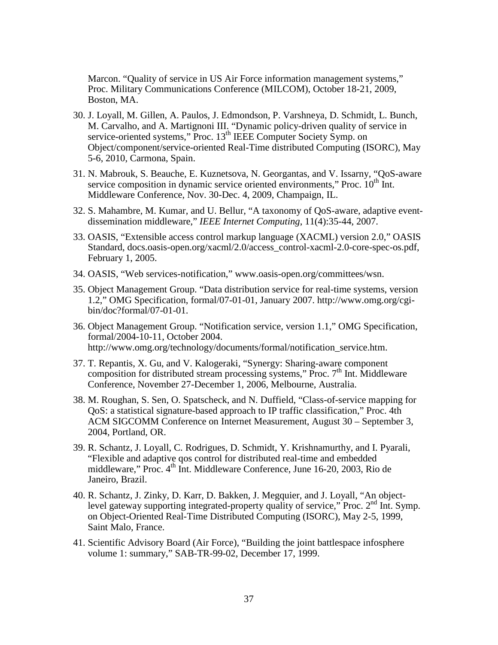Marcon. "Quality of service in US Air Force information management systems," Proc. Military Communications Conference (MILCOM), October 18-21, 2009, Boston, MA.

- <span id="page-36-4"></span>30. J. Loyall, M. Gillen, A. Paulos, J. Edmondson, P. Varshneya, D. Schmidt, L. Bunch, M. Carvalho, and A. Martignoni III. "Dynamic policy-driven quality of service in service-oriented systems," Proc. 13<sup>th</sup> IEEE Computer Society Symp. on Object/component/service-oriented Real-Time distributed Computing (ISORC), May 5-6, 2010, Carmona, Spain.
- <span id="page-36-6"></span>31. N. Mabrouk, S. Beauche, E. Kuznetsova, N. Georgantas, and V. Issarny, "QoS-aware service composition in dynamic service oriented environments," Proc.  $10<sup>th</sup>$  Int. Middleware Conference, Nov. 30-Dec. 4, 2009, Champaign, IL.
- <span id="page-36-7"></span>32. S. Mahambre, M. Kumar, and U. Bellur, "A taxonomy of QoS-aware, adaptive eventdissemination middleware," *IEEE Internet Computing*, 11(4):35-44, 2007.
- <span id="page-36-11"></span>33. OASIS, "Extensible access control markup language (XACML) version 2.0," OASIS Standard, docs.oasis-open.org/xacml/2.0/access\_control-xacml-2.0-core-spec-os.pdf, February 1, 2005.
- <span id="page-36-3"></span>34. OASIS, "Web services-notification," www.oasis-open.org/committees/wsn.
- <span id="page-36-1"></span>35. Object Management Group. "Data distribution service for real-time systems, version 1.2," OMG Specification, formal/07-01-01, January 2007. http://www.omg.org/cgibin/doc?formal/07-01-01.
- <span id="page-36-2"></span>36. Object Management Group. "Notification service, version 1.1," OMG Specification, formal/2004-10-11, October 2004. http://www.omg.org/technology/documents/formal/notification\_service.htm.
- <span id="page-36-5"></span>37. T. Repantis, X. Gu, and V. Kalogeraki, "Synergy: Sharing-aware component composition for distributed stream processing systems," Proc.  $7<sup>th</sup>$  Int. Middleware Conference, November 27-December 1, 2006, Melbourne, Australia.
- <span id="page-36-9"></span>38. M. Roughan, S. Sen, O. Spatscheck, and N. Duffield, "Class-of-service mapping for QoS: a statistical signature-based approach to IP traffic classification," Proc. 4th ACM SIGCOMM Conference on Internet Measurement, August 30 – September 3, 2004, Portland, OR.
- <span id="page-36-8"></span>39. R. Schantz, J. Loyall, C. Rodrigues, D. Schmidt, Y. Krishnamurthy, and I. Pyarali, "Flexible and adaptive qos control for distributed real-time and embedded middleware," Proc. 4<sup>th</sup> Int. Middleware Conference, June 16-20, 2003, Rio de Janeiro, Brazil.
- <span id="page-36-10"></span>40. R. Schantz, J. Zinky, D. Karr, D. Bakken, J. Megquier, and J. Loyall, "An objectlevel gateway supporting integrated-property quality of service," Proc. 2nd Int. Symp. on Object-Oriented Real-Time Distributed Computing (ISORC), May 2-5, 1999, Saint Malo, France.
- <span id="page-36-0"></span>41. Scientific Advisory Board (Air Force), "Building the joint battlespace infosphere volume 1: summary," SAB-TR-99-02, December 17, 1999.